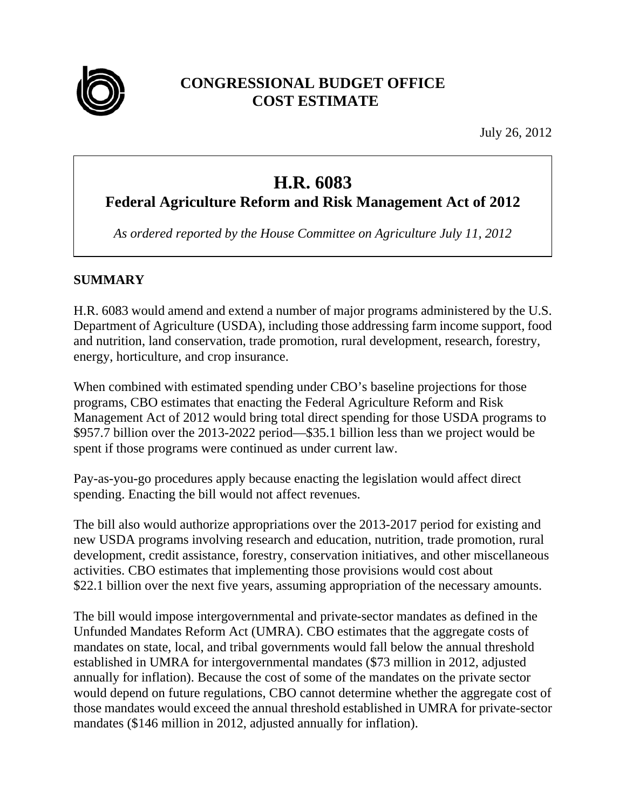

# **CONGRESSIONAL BUDGET OFFICE COST ESTIMATE**

July 26, 2012

# **H.R. 6083**

**Federal Agriculture Reform and Risk Management Act of 2012** 

*As ordered reported by the House Committee on Agriculture July 11, 2012* 

# **SUMMARY**

H.R. 6083 would amend and extend a number of major programs administered by the U.S. Department of Agriculture (USDA), including those addressing farm income support, food and nutrition, land conservation, trade promotion, rural development, research, forestry, energy, horticulture, and crop insurance.

When combined with estimated spending under CBO's baseline projections for those programs, CBO estimates that enacting the Federal Agriculture Reform and Risk Management Act of 2012 would bring total direct spending for those USDA programs to \$957.7 billion over the 2013-2022 period—\$35.1 billion less than we project would be spent if those programs were continued as under current law.

Pay-as-you-go procedures apply because enacting the legislation would affect direct spending. Enacting the bill would not affect revenues.

The bill also would authorize appropriations over the 2013-2017 period for existing and new USDA programs involving research and education, nutrition, trade promotion, rural development, credit assistance, forestry, conservation initiatives, and other miscellaneous activities. CBO estimates that implementing those provisions would cost about \$22.1 billion over the next five years, assuming appropriation of the necessary amounts.

The bill would impose intergovernmental and private-sector mandates as defined in the Unfunded Mandates Reform Act (UMRA). CBO estimates that the aggregate costs of mandates on state, local, and tribal governments would fall below the annual threshold established in UMRA for intergovernmental mandates (\$73 million in 2012, adjusted annually for inflation). Because the cost of some of the mandates on the private sector would depend on future regulations, CBO cannot determine whether the aggregate cost of those mandates would exceed the annual threshold established in UMRA for private-sector mandates (\$146 million in 2012, adjusted annually for inflation).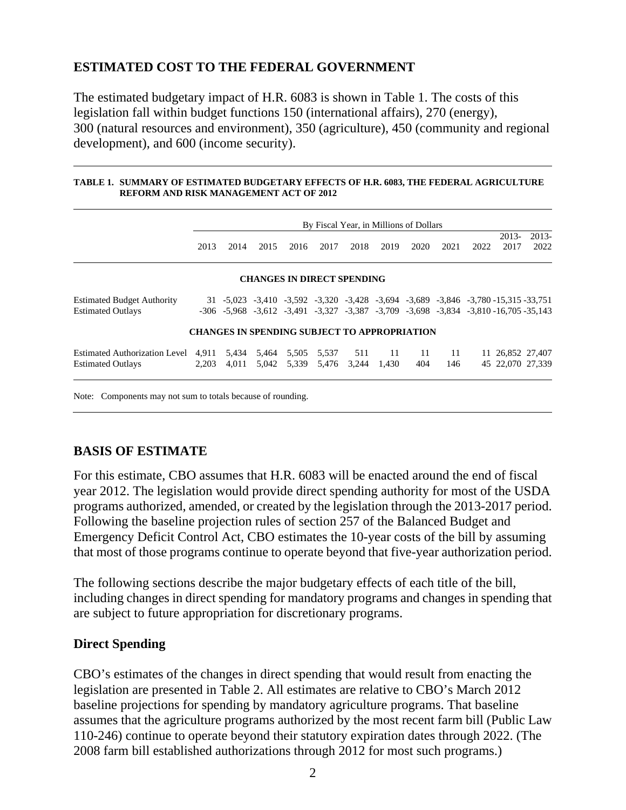# **ESTIMATED COST TO THE FEDERAL GOVERNMENT**

The estimated budgetary impact of H.R. 6083 is shown in Table 1. The costs of this legislation fall within budget functions 150 (international affairs), 270 (energy), 300 (natural resources and environment), 350 (agriculture), 450 (community and regional development), and 600 (income security).

#### **TABLE 1. SUMMARY OF ESTIMATED BUDGETARY EFFECTS OF H.R. 6083, THE FEDERAL AGRICULTURE REFORM AND RISK MANAGEMENT ACT OF 2012**

|                                                                  |                | By Fiscal Year, in Millions of Dollars                                                                                                                                                                        |                |                |                |                                   |              |           |           |      |                                      |                 |
|------------------------------------------------------------------|----------------|---------------------------------------------------------------------------------------------------------------------------------------------------------------------------------------------------------------|----------------|----------------|----------------|-----------------------------------|--------------|-----------|-----------|------|--------------------------------------|-----------------|
|                                                                  | 2013           | 2014                                                                                                                                                                                                          | 2015           | 2016           | 2017           | 2018                              | 2019         | 2020      | 2021      | 2022 | $2013-$<br>2017                      | $2013-$<br>2022 |
|                                                                  |                |                                                                                                                                                                                                               |                |                |                | <b>CHANGES IN DIRECT SPENDING</b> |              |           |           |      |                                      |                 |
| <b>Estimated Budget Authority</b><br><b>Estimated Outlays</b>    |                | $31 - 5,023 - 3,410 - 3,592 - 3,320 - 3,428 - 3,694 - 3,689 - 3,846 - 3,780 - 15,315 - 33,751$<br>$-306$ $-5.968$ $-3.612$ $-3.491$ $-3.327$ $-3.387$ $-3.709$ $-3.698$ $-3.834$ $-3.810$ $-16.705$ $-35.143$ |                |                |                |                                   |              |           |           |      |                                      |                 |
|                                                                  |                | <b>CHANGES IN SPENDING SUBJECT TO APPROPRIATION</b>                                                                                                                                                           |                |                |                |                                   |              |           |           |      |                                      |                 |
| <b>Estimated Authorization Level</b><br><b>Estimated Outlays</b> | 4.911<br>2.203 | 5,434<br>4.011                                                                                                                                                                                                | 5,464<br>5.042 | 5,505<br>5,339 | 5,537<br>5,476 | 511<br>3.244                      | -11<br>1.430 | 11<br>404 | 11<br>146 |      | 11 26,852 27,407<br>45 22,070 27,339 |                 |

Note: Components may not sum to totals because of rounding.

### **BASIS OF ESTIMATE**

For this estimate, CBO assumes that H.R. 6083 will be enacted around the end of fiscal year 2012. The legislation would provide direct spending authority for most of the USDA programs authorized, amended, or created by the legislation through the 2013-2017 period. Following the baseline projection rules of section 257 of the Balanced Budget and Emergency Deficit Control Act, CBO estimates the 10-year costs of the bill by assuming that most of those programs continue to operate beyond that five-year authorization period.

The following sections describe the major budgetary effects of each title of the bill, including changes in direct spending for mandatory programs and changes in spending that are subject to future appropriation for discretionary programs.

### **Direct Spending**

CBO's estimates of the changes in direct spending that would result from enacting the legislation are presented in Table 2. All estimates are relative to CBO's March 2012 baseline projections for spending by mandatory agriculture programs. That baseline assumes that the agriculture programs authorized by the most recent farm bill (Public Law 110-246) continue to operate beyond their statutory expiration dates through 2022. (The 2008 farm bill established authorizations through 2012 for most such programs.)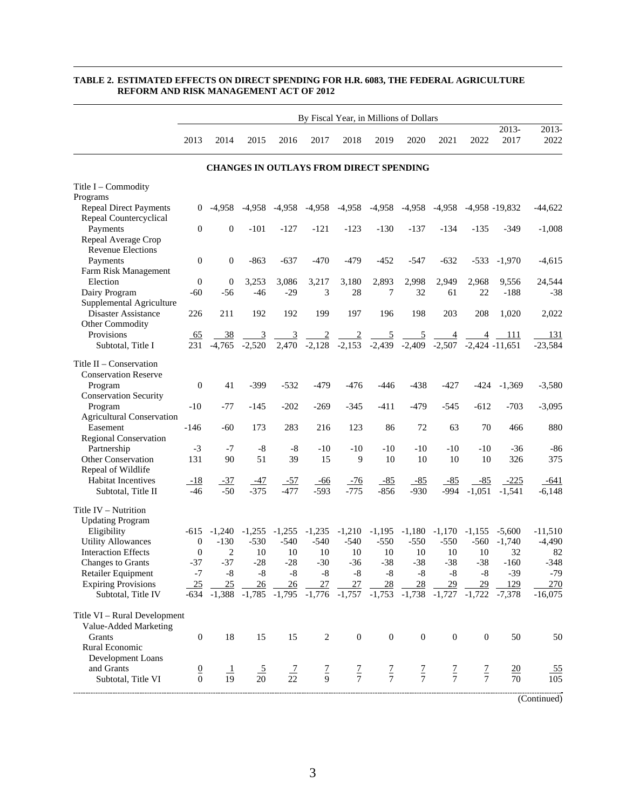|                                  | By Fiscal Year, in Millions of Dollars |                  |                           |                            |                                                                                                                                                           |                  |                            |                  |                            |              |                   |               |
|----------------------------------|----------------------------------------|------------------|---------------------------|----------------------------|-----------------------------------------------------------------------------------------------------------------------------------------------------------|------------------|----------------------------|------------------|----------------------------|--------------|-------------------|---------------|
|                                  | 2013                                   | 2014             | 2015                      | 2016                       | 2017                                                                                                                                                      | 2018             | 2019                       | 2020             | 2021                       | 2022         | $2013-$<br>2017   | 2013-<br>2022 |
|                                  |                                        |                  |                           |                            | <b>CHANGES IN OUTLAYS FROM DIRECT SPENDING</b>                                                                                                            |                  |                            |                  |                            |              |                   |               |
| Title I – Commodity              |                                        |                  |                           |                            |                                                                                                                                                           |                  |                            |                  |                            |              |                   |               |
| Programs                         |                                        |                  |                           |                            |                                                                                                                                                           |                  |                            |                  |                            |              |                   |               |
| <b>Repeal Direct Payments</b>    | 0                                      | -4,958           | $-4,958$                  |                            | $-4,958$ $-4,958$ $-4,958$                                                                                                                                |                  |                            |                  | $-4,958$ $-4,958$ $-4,958$ |              | $-4,958 - 19,832$ | $-44,622$     |
| Repeal Countercyclical           |                                        |                  |                           |                            |                                                                                                                                                           |                  |                            |                  |                            |              |                   |               |
| Payments<br>Repeal Average Crop  | $\boldsymbol{0}$                       | $\boldsymbol{0}$ | $-101$                    | $-127$                     | $-121$                                                                                                                                                    | $-123$           | $-130$                     | $-137$           | $-134$                     | -135         | $-349$            | $-1,008$      |
| <b>Revenue Elections</b>         |                                        |                  |                           |                            |                                                                                                                                                           |                  |                            |                  |                            |              |                   |               |
| Payments                         | $\boldsymbol{0}$                       | $\boldsymbol{0}$ | $-863$                    | $-637$                     | $-470$                                                                                                                                                    | $-479$           | $-452$                     | $-547$           | $-632$                     | $-533$       | $-1,970$          | $-4,615$      |
| Farm Risk Management             |                                        |                  |                           |                            |                                                                                                                                                           |                  |                            |                  |                            |              |                   |               |
| Election                         | $\boldsymbol{0}$                       | $\boldsymbol{0}$ | 3,253                     | 3,086                      | 3,217                                                                                                                                                     | 3,180            | 2,893                      | 2,998            | 2,949                      | 2,968        | 9,556             | 24,544        |
| Dairy Program                    | $-60$                                  | $-56$            | $-46$                     | $-29$                      | 3                                                                                                                                                         | 28               | 7                          | 32               | 61                         | 22           | $-188$            | $-38$         |
| Supplemental Agriculture         |                                        |                  |                           |                            |                                                                                                                                                           |                  |                            |                  |                            |              |                   |               |
| Disaster Assistance              | 226                                    | 211              | 192                       | 192                        | 199                                                                                                                                                       | 197              | 196                        | 198              | 203                        | 208          | 1,020             | 2,022         |
| Other Commodity                  |                                        |                  |                           |                            |                                                                                                                                                           |                  |                            |                  |                            |              |                   |               |
| Provisions                       | <u>_65</u>                             | <u>38</u>        | $\overline{\phantom{0}3}$ |                            | $\frac{3}{2,470}$ $\frac{2}{-2,128}$ $\frac{2}{-2,153}$ $\frac{5}{-2,439}$ $\frac{5}{-2,409}$ $\frac{4}{-2,507}$ $\frac{4}{-2,424}$ $\frac{111}{-11,651}$ |                  |                            |                  |                            |              |                   | 131           |
| Subtotal, Title I                | 231                                    |                  | $-4,765$ $-2,520$         |                            |                                                                                                                                                           |                  |                            |                  |                            |              |                   | $-23,584$     |
| Title II - Conservation          |                                        |                  |                           |                            |                                                                                                                                                           |                  |                            |                  |                            |              |                   |               |
| <b>Conservation Reserve</b>      |                                        |                  |                           |                            |                                                                                                                                                           |                  |                            |                  |                            |              |                   |               |
| Program                          | $\boldsymbol{0}$                       | 41               | $-399$                    | $-532$                     | $-479$                                                                                                                                                    | $-476$           | $-446$                     | $-438$           | $-427$                     | -424         | $-1,369$          | $-3,580$      |
| <b>Conservation Security</b>     |                                        |                  |                           |                            |                                                                                                                                                           |                  |                            |                  |                            |              |                   |               |
| Program                          | $-10$                                  | $-77$            | $-145$                    | $-202$                     | $-269$                                                                                                                                                    | $-345$           | $-411$                     | $-479$           | $-545$                     | $-612$       | $-703$            | $-3,095$      |
| <b>Agricultural Conservation</b> |                                        |                  |                           |                            |                                                                                                                                                           |                  |                            |                  |                            |              |                   |               |
| Easement                         | $-146$                                 | $-60$            | 173                       | 283                        | 216                                                                                                                                                       | 123              | 86                         | 72               | 63                         | 70           | 466               | 880           |
| Regional Conservation            |                                        |                  |                           |                            |                                                                                                                                                           |                  |                            |                  |                            |              |                   |               |
| Partnership                      | $-3$                                   | $-7$             | $-8$                      | $-8$                       | $-10$                                                                                                                                                     | -10              | $-10$                      | -10              | $-10$                      | -10          | -36               | -86           |
| <b>Other Conservation</b>        | 131                                    | 90               | 51                        | 39                         | 15                                                                                                                                                        | 9                | 10                         | 10               | 10                         | 10           | 326               | 375           |
| Repeal of Wildlife               |                                        |                  |                           |                            |                                                                                                                                                           |                  |                            |                  |                            |              |                   |               |
| <b>Habitat Incentives</b>        | $-18$<br>$-46$                         | $-37$<br>$-50$   | <u>-47</u><br>$-375$      | <u>-57</u><br>$-477$       | $-66$<br>$-593$                                                                                                                                           | $-76$<br>$-775$  | $-85$                      | $-85$<br>$-930$  | $-85$                      | $-85$        | $-225$            | $-641$        |
| Subtotal, Title II               |                                        |                  |                           |                            |                                                                                                                                                           |                  | $-856$                     |                  | $-994$                     | $-1,051$     | $-1,541$          | $-6,148$      |
| Title IV - Nutrition             |                                        |                  |                           |                            |                                                                                                                                                           |                  |                            |                  |                            |              |                   |               |
| <b>Updating Program</b>          |                                        |                  |                           |                            |                                                                                                                                                           |                  |                            |                  |                            |              |                   |               |
| Eligibility                      |                                        | $-615 -1,240$    | $-1,255$                  | $-1,255$                   | $-1,235$                                                                                                                                                  | $-1,210$         | $-1,195$                   | $-1,180$         | $-1,170$                   |              | $-1,155$ $-5,600$ | $-11,510$     |
| <b>Utility Allowances</b>        | $\boldsymbol{0}$                       | $-130$           | $-530$                    | $-540$                     | $-540$                                                                                                                                                    | $-540$           | $-550$                     | $-550$           | $-550$                     |              | $-560 - 1,740$    | $-4,490$      |
| <b>Interaction Effects</b>       | $\boldsymbol{0}$                       | 2                | 10                        | 10                         | 10                                                                                                                                                        | 10               | 10                         | 10               | 10                         | 10           | 32                | 82            |
| Changes to Grants                | -37                                    | $-37$            | $-28$                     | $-28$                      | $-30$                                                                                                                                                     | $-36$            | $-38$                      | $-38$            | $-38$                      | $-38$        | $-160$            | $-348$        |
| Retailer Equipment               | -7                                     | -8               | $-8$                      | $-8$                       | $\text{-}8$                                                                                                                                               | $-8$             | $-8$                       | $-8$             | -8                         | $-8$         | $-39$             | $-79$         |
| <b>Expiring Provisions</b>       | 25                                     | 25               | 26                        | 26                         | 27                                                                                                                                                        | 27               | 28                         | 28               | 29                         | 29           | 129               | 270           |
| Subtotal, Title IV               | -634                                   | $-1,388$         |                           | $-1,785$ $-1,795$ $-1,776$ |                                                                                                                                                           |                  | $-1,757$ $-1,753$ $-1,738$ |                  | $-1,727$                   | $-1,722$     | $-7,378$          | $-16,075$     |
| Title VI - Rural Development     |                                        |                  |                           |                            |                                                                                                                                                           |                  |                            |                  |                            |              |                   |               |
| Value-Added Marketing            |                                        |                  |                           |                            |                                                                                                                                                           |                  |                            |                  |                            |              |                   |               |
| Grants                           | $\boldsymbol{0}$                       | 18               | 15                        | 15                         | $\overline{c}$                                                                                                                                            | $\boldsymbol{0}$ | $\boldsymbol{0}$           | $\boldsymbol{0}$ | $\mathbf{0}$               | $\mathbf{0}$ | 50                | 50            |
| Rural Economic                   |                                        |                  |                           |                            |                                                                                                                                                           |                  |                            |                  |                            |              |                   |               |
| Development Loans                |                                        |                  |                           |                            |                                                                                                                                                           |                  |                            |                  |                            |              |                   |               |
| and Grants                       | $\frac{0}{0}$                          | $\perp$          |                           |                            |                                                                                                                                                           |                  |                            |                  |                            |              | $\underline{20}$  | <u>_55</u>    |
| Subtotal, Title VI               |                                        | $\overline{19}$  | $\frac{5}{20}$            | $\frac{7}{22}$             | $\frac{7}{9}$                                                                                                                                             | $rac{7}{7}$      | $rac{7}{7}$                | $rac{7}{7}$      | $rac{7}{7}$                | $rac{7}{7}$  | $\overline{70}$   | 105           |
|                                  |                                        |                  |                           |                            |                                                                                                                                                           |                  |                            |                  |                            |              |                   |               |
|                                  |                                        |                  |                           |                            |                                                                                                                                                           |                  |                            |                  |                            |              |                   | (Continued)   |

#### **TABLE 2. ESTIMATED EFFECTS ON DIRECT SPENDING FOR H.R. 6083, THE FEDERAL AGRICULTURE REFORM AND RISK MANAGEMENT ACT OF 2012**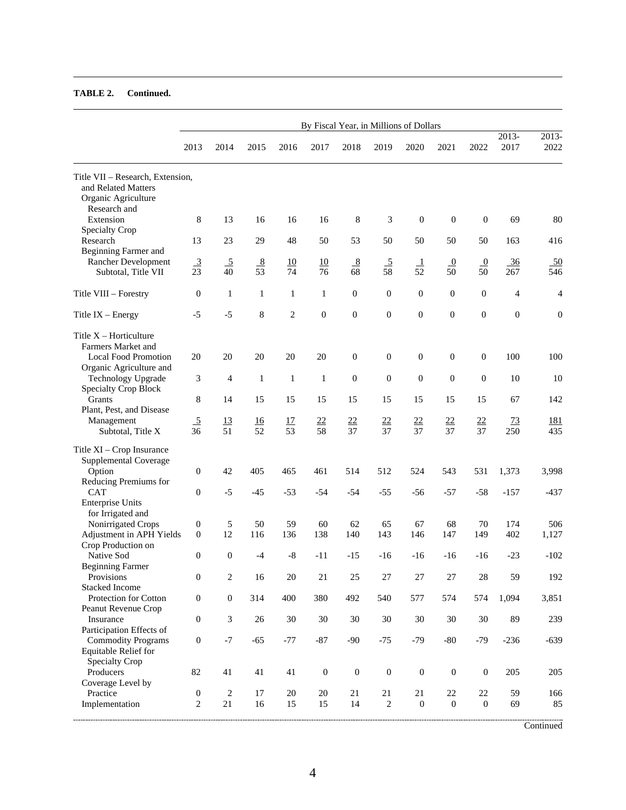|                                                                                | By Fiscal Year, in Millions of Dollars |                          |                                  |                       |                  |                  |                                   |                        |                      |                        |                |                         |
|--------------------------------------------------------------------------------|----------------------------------------|--------------------------|----------------------------------|-----------------------|------------------|------------------|-----------------------------------|------------------------|----------------------|------------------------|----------------|-------------------------|
|                                                                                | 2013                                   | 2014                     | 2015                             | 2016                  | 2017             | 2018             | 2019                              | 2020                   | 2021                 | 2022                   | 2013-<br>2017  | 2013-<br>2022           |
| Title VII – Research, Extension,<br>and Related Matters<br>Organic Agriculture |                                        |                          |                                  |                       |                  |                  |                                   |                        |                      |                        |                |                         |
| Research and<br>Extension                                                      | 8                                      | 13                       | 16                               | 16                    | 16               | 8                | 3                                 | $\boldsymbol{0}$       | $\boldsymbol{0}$     | $\theta$               | 69             | 80                      |
| Specialty Crop<br>Research                                                     | 13                                     | 23                       | 29                               | 48                    | 50               | 53               | 50                                | 50                     | 50                   | 50                     | 163            | 416                     |
| Beginning Farmer and<br>Rancher Development<br>Subtotal, Title VII             | $\frac{3}{23}$                         | $\overline{5}$<br>40     | $\frac{8}{5}$<br>$\overline{53}$ | 10<br>74              | 10<br>76         | 8<br>68          | $\overline{5}$<br>$\overline{58}$ | $\perp$<br>52          | $\overline{0}$<br>50 | $\overline{0}$<br>50   | 36<br>267      | $\underline{50}$<br>546 |
| Title VIII - Forestry                                                          | $\boldsymbol{0}$                       | 1                        | $\mathbf{1}$                     | $\mathbf{1}$          | $\mathbf{1}$     | $\overline{0}$   | $\mathbf{0}$                      | $\overline{0}$         | $\mathbf{0}$         | $\mathbf{0}$           | $\overline{4}$ | 4                       |
| Title $IX - Energy$                                                            | $-5$                                   | $-5$                     | 8                                | $\overline{2}$        | $\overline{0}$   | $\mathbf{0}$     | $\overline{0}$                    | $\mathbf{0}$           | $\overline{0}$       | $\mathbf{0}$           | $\overline{0}$ | $\boldsymbol{0}$        |
| Title $X -$ Horticulture<br>Farmers Market and<br><b>Local Food Promotion</b>  | 20                                     | 20                       | 20                               | 20                    | 20               | $\boldsymbol{0}$ | $\boldsymbol{0}$                  | $\boldsymbol{0}$       | $\boldsymbol{0}$     | $\mathbf{0}$           | 100            | 100                     |
| Organic Agriculture and<br><b>Technology Upgrade</b>                           | 3                                      | 4                        | $\mathbf{1}$                     | $\mathbf{1}$          | $\mathbf{1}$     | $\boldsymbol{0}$ | $\boldsymbol{0}$                  | $\boldsymbol{0}$       | $\boldsymbol{0}$     | $\boldsymbol{0}$       | 10             | 10                      |
| <b>Specialty Crop Block</b><br>Grants                                          | 8                                      | 14                       | 15                               | 15                    | 15               | 15               | 15                                | 15                     | 15                   | 15                     | 67             | 142                     |
| Plant, Pest, and Disease<br>Management<br>Subtotal, Title X                    | $\frac{5}{36}$                         | 13<br>51                 | 16<br>$\overline{52}$            | 17<br>$\overline{53}$ | $\frac{22}{58}$  | $\frac{22}{37}$  | $rac{22}{37}$                     | $\frac{22}{37}$        | $\frac{22}{37}$      | $\frac{22}{37}$        | 73<br>250      | <u> 181</u><br>435      |
| Title XI - Crop Insurance<br>Supplemental Coverage<br>Option                   | $\overline{0}$                         | 42                       | 405                              | 465                   | 461              | 514              | 512                               | 524                    | 543                  | 531                    | 1,373          | 3,998                   |
| Reducing Premiums for<br><b>CAT</b>                                            | $\boldsymbol{0}$                       | $-5$                     | $-45$                            | $-53$                 | $-54$            | $-54$            | $-55$                             | $-56$                  | $-57$                | $-58$                  | $-157$         | $-437$                  |
| <b>Enterprise Units</b><br>for Irrigated and                                   |                                        |                          |                                  |                       |                  |                  |                                   |                        |                      |                        |                |                         |
| Nonirrigated Crops<br>Adjustment in APH Yields                                 | 0<br>$\overline{0}$                    | 5<br>12                  | 50<br>116                        | 59<br>136             | 60<br>138        | 62<br>140        | 65<br>143                         | 67<br>146              | 68<br>147            | 70<br>149              | 174<br>402     | 506<br>1,127            |
| Crop Production on<br>Native Sod                                               | $\mathbf{0}$                           | $\overline{0}$           | $-4$                             | $-8$                  | -11              | $-15$            | $-16$                             | -16                    | -16                  | $-16$                  | $-23$          | $-102$                  |
| <b>Beginning Farmer</b><br>Provisions<br><b>Stacked Income</b>                 | $\boldsymbol{0}$                       | $\sqrt{2}$               | 16                               | 20                    | 21               | 25               | $27\,$                            | $27\,$                 | 27                   | 28                     | 59             | 192                     |
| Protection for Cotton<br>Peanut Revenue Crop                                   | $\boldsymbol{0}$                       | $\boldsymbol{0}$         | 314                              | 400                   | 380              | 492              | 540                               | 577                    | 574                  | 574                    | 1,094          | 3,851                   |
| Insurance<br>Participation Effects of                                          | $\boldsymbol{0}$                       | 3                        | 26                               | 30                    | 30               | $30\,$           | 30                                | 30                     | 30                   | 30                     | 89             | 239                     |
| <b>Commodity Programs</b><br>Equitable Relief for<br>Specialty Crop            | $\boldsymbol{0}$                       | $-7$                     | $-65$                            | $-77$                 | $-87$            | $-90$            | $-75$                             | $-79$                  | $-80$                | $-79$                  | $-236$         | $-639$                  |
| Producers<br>Coverage Level by                                                 | 82                                     | 41                       | 41                               | 41                    | $\boldsymbol{0}$ | $\boldsymbol{0}$ | $\boldsymbol{0}$                  | $\boldsymbol{0}$       | $\boldsymbol{0}$     | $\boldsymbol{0}$       | 205            | 205                     |
| Practice<br>Implementation                                                     | $\boldsymbol{0}$<br>$\overline{c}$     | $\overline{c}$<br>$21\,$ | 17<br>16                         | 20<br>15              | 20<br>15         | 21<br>14         | $21\,$<br>$\overline{c}$          | 21<br>$\boldsymbol{0}$ | 22<br>$\mathbf{0}$   | 22<br>$\boldsymbol{0}$ | 59<br>69       | 166<br>85               |

**Continued**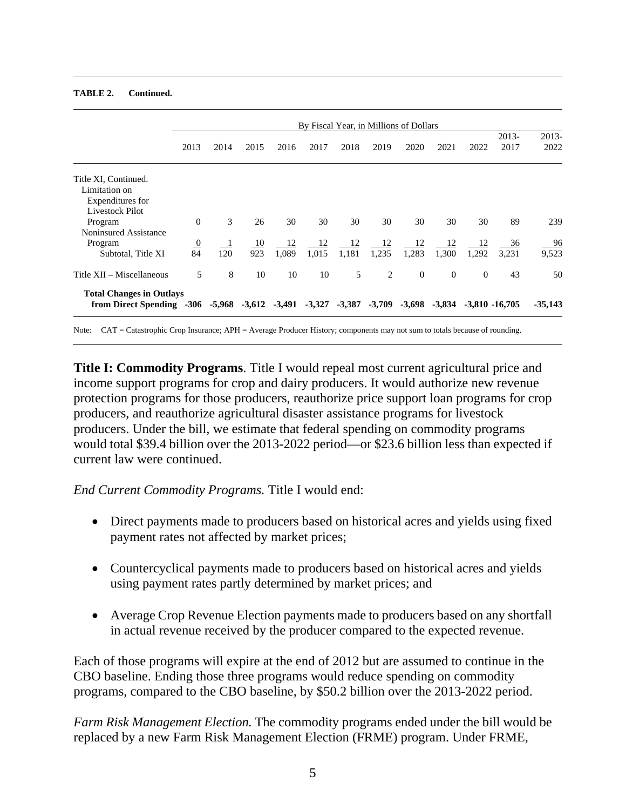|                                                           | By Fiscal Year, in Millions of Dollars |      |                            |             |             |             |             |                |                                      |                |               |                         |
|-----------------------------------------------------------|----------------------------------------|------|----------------------------|-------------|-------------|-------------|-------------|----------------|--------------------------------------|----------------|---------------|-------------------------|
|                                                           | 2013                                   | 2014 | 2015                       | 2016        | 2017        | 2018        | 2019        | 2020           | 2021                                 | 2022           | 2013-<br>2017 | 2013-<br>2022           |
| Title XI, Continued.<br>Limitation on<br>Expenditures for |                                        |      |                            |             |             |             |             |                |                                      |                |               |                         |
| Livestock Pilot<br>Program<br>Noninsured Assistance       | $\Omega$                               | 3    | 26                         | 30          | 30          | 30          | 30          | 30             | 30                                   | 30             | 89            | 239                     |
| Program<br>Subtotal, Title XI                             | $\frac{0}{84}$                         | 120  | 10<br>923                  | 12<br>1.089 | 12<br>1,015 | 12<br>1,181 | 12<br>1,235 | 12<br>1,283    | 12<br>1,300                          | 12<br>1,292    | 36<br>3.231   | $\frac{96}{9}$<br>9,523 |
| Title XII – Miscellaneous                                 | 5                                      | 8    | 10                         | 10          | 10          | 5           | 2           | $\overline{0}$ | $\overline{0}$                       | $\overline{0}$ | 43            | 50                      |
| <b>Total Changes in Outlays</b><br>from Direct Spending   | -306                                   |      | $-5,968$ $-3,612$ $-3,491$ |             | $-3,327$    | $-3,387$    | $-3,709$    |                | $-3,698$ $-3,834$ $-3,810$ $-16,705$ |                |               | $-35,143$               |

#### **TABLE 2. Continued.**

Note: CAT = Catastrophic Crop Insurance; APH = Average Producer History; components may not sum to totals because of rounding.

**Title I: Commodity Programs**. Title I would repeal most current agricultural price and income support programs for crop and dairy producers. It would authorize new revenue protection programs for those producers, reauthorize price support loan programs for crop producers, and reauthorize agricultural disaster assistance programs for livestock producers. Under the bill, we estimate that federal spending on commodity programs would total \$39.4 billion over the 2013-2022 period—or \$23.6 billion less than expected if current law were continued.

*End Current Commodity Programs.* Title I would end:

- Direct payments made to producers based on historical acres and yields using fixed payment rates not affected by market prices;
- Countercyclical payments made to producers based on historical acres and yields using payment rates partly determined by market prices; and
- Average Crop Revenue Election payments made to producers based on any shortfall in actual revenue received by the producer compared to the expected revenue.

Each of those programs will expire at the end of 2012 but are assumed to continue in the CBO baseline. Ending those three programs would reduce spending on commodity programs, compared to the CBO baseline, by \$50.2 billion over the 2013-2022 period.

*Farm Risk Management Election.* The commodity programs ended under the bill would be replaced by a new Farm Risk Management Election (FRME) program. Under FRME,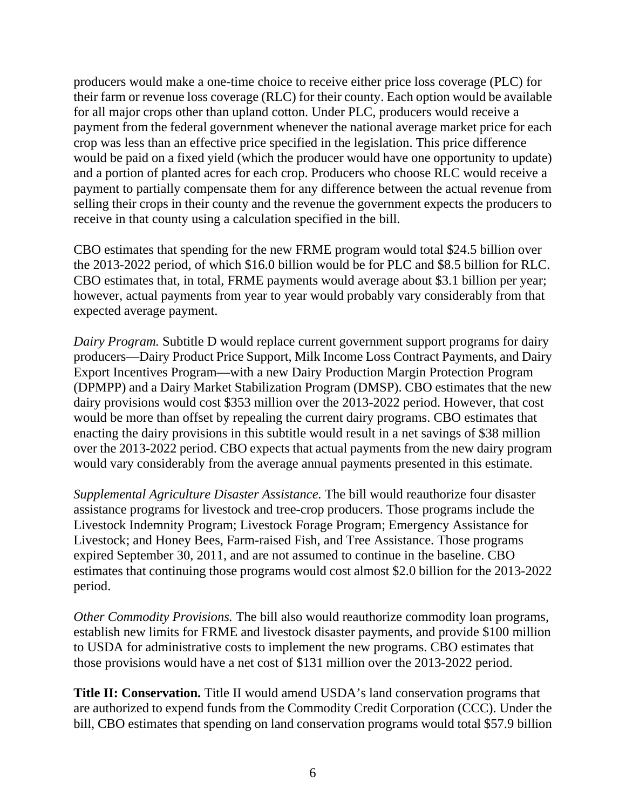producers would make a one-time choice to receive either price loss coverage (PLC) for their farm or revenue loss coverage (RLC) for their county. Each option would be available for all major crops other than upland cotton. Under PLC, producers would receive a payment from the federal government whenever the national average market price for each crop was less than an effective price specified in the legislation. This price difference would be paid on a fixed yield (which the producer would have one opportunity to update) and a portion of planted acres for each crop. Producers who choose RLC would receive a payment to partially compensate them for any difference between the actual revenue from selling their crops in their county and the revenue the government expects the producers to receive in that county using a calculation specified in the bill.

CBO estimates that spending for the new FRME program would total \$24.5 billion over the 2013-2022 period, of which \$16.0 billion would be for PLC and \$8.5 billion for RLC. CBO estimates that, in total, FRME payments would average about \$3.1 billion per year; however, actual payments from year to year would probably vary considerably from that expected average payment.

*Dairy Program.* Subtitle D would replace current government support programs for dairy producers—Dairy Product Price Support, Milk Income Loss Contract Payments, and Dairy Export Incentives Program—with a new Dairy Production Margin Protection Program (DPMPP) and a Dairy Market Stabilization Program (DMSP). CBO estimates that the new dairy provisions would cost \$353 million over the 2013-2022 period. However, that cost would be more than offset by repealing the current dairy programs. CBO estimates that enacting the dairy provisions in this subtitle would result in a net savings of \$38 million over the 2013-2022 period. CBO expects that actual payments from the new dairy program would vary considerably from the average annual payments presented in this estimate.

*Supplemental Agriculture Disaster Assistance.* The bill would reauthorize four disaster assistance programs for livestock and tree-crop producers. Those programs include the Livestock Indemnity Program; Livestock Forage Program; Emergency Assistance for Livestock; and Honey Bees, Farm-raised Fish, and Tree Assistance. Those programs expired September 30, 2011, and are not assumed to continue in the baseline. CBO estimates that continuing those programs would cost almost \$2.0 billion for the 2013-2022 period.

*Other Commodity Provisions.* The bill also would reauthorize commodity loan programs, establish new limits for FRME and livestock disaster payments, and provide \$100 million to USDA for administrative costs to implement the new programs. CBO estimates that those provisions would have a net cost of \$131 million over the 2013-2022 period.

**Title II: Conservation.** Title II would amend USDA's land conservation programs that are authorized to expend funds from the Commodity Credit Corporation (CCC). Under the bill, CBO estimates that spending on land conservation programs would total \$57.9 billion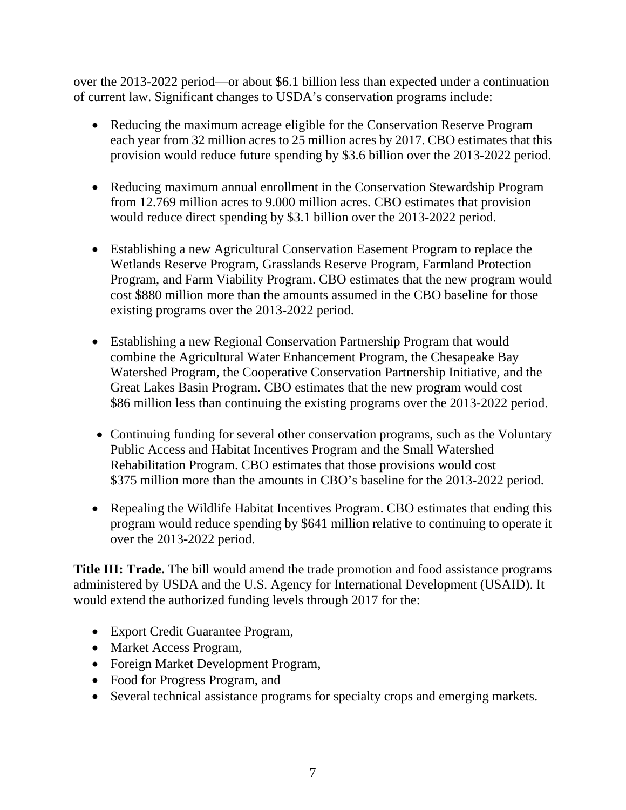over the 2013-2022 period—or about \$6.1 billion less than expected under a continuation of current law. Significant changes to USDA's conservation programs include:

- Reducing the maximum acreage eligible for the Conservation Reserve Program each year from 32 million acres to 25 million acres by 2017. CBO estimates that this provision would reduce future spending by \$3.6 billion over the 2013-2022 period.
- Reducing maximum annual enrollment in the Conservation Stewardship Program from 12.769 million acres to 9.000 million acres. CBO estimates that provision would reduce direct spending by \$3.1 billion over the 2013-2022 period.
- Establishing a new Agricultural Conservation Easement Program to replace the Wetlands Reserve Program, Grasslands Reserve Program, Farmland Protection Program, and Farm Viability Program. CBO estimates that the new program would cost \$880 million more than the amounts assumed in the CBO baseline for those existing programs over the 2013-2022 period.
- Establishing a new Regional Conservation Partnership Program that would combine the Agricultural Water Enhancement Program, the Chesapeake Bay Watershed Program, the Cooperative Conservation Partnership Initiative, and the Great Lakes Basin Program. CBO estimates that the new program would cost \$86 million less than continuing the existing programs over the 2013-2022 period.
- Continuing funding for several other conservation programs, such as the Voluntary Public Access and Habitat Incentives Program and the Small Watershed Rehabilitation Program. CBO estimates that those provisions would cost \$375 million more than the amounts in CBO's baseline for the 2013-2022 period.
- Repealing the Wildlife Habitat Incentives Program. CBO estimates that ending this program would reduce spending by \$641 million relative to continuing to operate it over the 2013-2022 period.

**Title III: Trade.** The bill would amend the trade promotion and food assistance programs administered by USDA and the U.S. Agency for International Development (USAID). It would extend the authorized funding levels through 2017 for the:

- Export Credit Guarantee Program,
- Market Access Program,
- Foreign Market Development Program,
- Food for Progress Program, and
- Several technical assistance programs for specialty crops and emerging markets.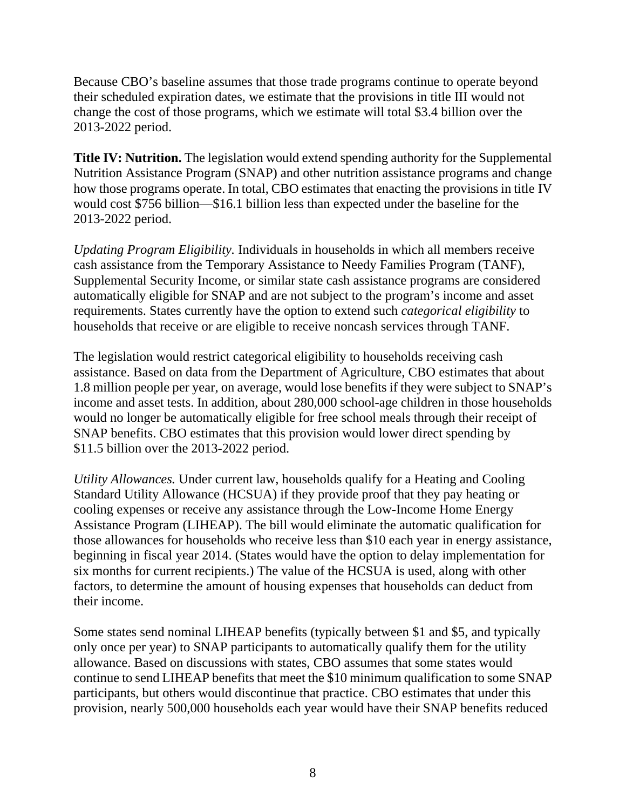Because CBO's baseline assumes that those trade programs continue to operate beyond their scheduled expiration dates, we estimate that the provisions in title III would not change the cost of those programs, which we estimate will total \$3.4 billion over the 2013-2022 period.

**Title IV: Nutrition.** The legislation would extend spending authority for the Supplemental Nutrition Assistance Program (SNAP) and other nutrition assistance programs and change how those programs operate. In total, CBO estimates that enacting the provisions in title IV would cost \$756 billion—\$16.1 billion less than expected under the baseline for the 2013-2022 period.

*Updating Program Eligibility.* Individuals in households in which all members receive cash assistance from the Temporary Assistance to Needy Families Program (TANF), Supplemental Security Income, or similar state cash assistance programs are considered automatically eligible for SNAP and are not subject to the program's income and asset requirements. States currently have the option to extend such *categorical eligibility* to households that receive or are eligible to receive noncash services through TANF.

The legislation would restrict categorical eligibility to households receiving cash assistance. Based on data from the Department of Agriculture, CBO estimates that about 1.8 million people per year, on average, would lose benefits if they were subject to SNAP's income and asset tests. In addition, about 280,000 school-age children in those households would no longer be automatically eligible for free school meals through their receipt of SNAP benefits. CBO estimates that this provision would lower direct spending by \$11.5 billion over the 2013-2022 period.

*Utility Allowances.* Under current law, households qualify for a Heating and Cooling Standard Utility Allowance (HCSUA) if they provide proof that they pay heating or cooling expenses or receive any assistance through the Low-Income Home Energy Assistance Program (LIHEAP). The bill would eliminate the automatic qualification for those allowances for households who receive less than \$10 each year in energy assistance, beginning in fiscal year 2014. (States would have the option to delay implementation for six months for current recipients.) The value of the HCSUA is used, along with other factors, to determine the amount of housing expenses that households can deduct from their income.

Some states send nominal LIHEAP benefits (typically between \$1 and \$5, and typically only once per year) to SNAP participants to automatically qualify them for the utility allowance. Based on discussions with states, CBO assumes that some states would continue to send LIHEAP benefits that meet the \$10 minimum qualification to some SNAP participants, but others would discontinue that practice. CBO estimates that under this provision, nearly 500,000 households each year would have their SNAP benefits reduced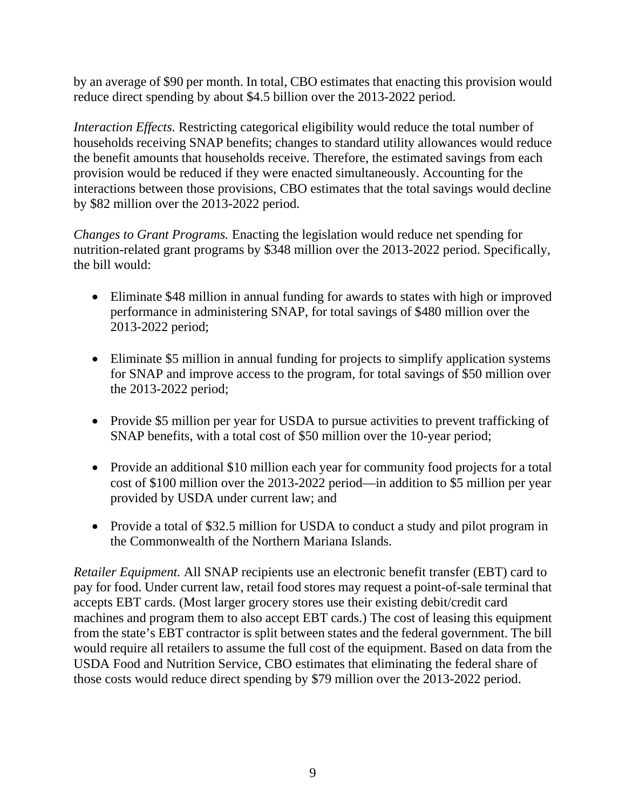by an average of \$90 per month. In total, CBO estimates that enacting this provision would reduce direct spending by about \$4.5 billion over the 2013-2022 period.

*Interaction Effects.* Restricting categorical eligibility would reduce the total number of households receiving SNAP benefits; changes to standard utility allowances would reduce the benefit amounts that households receive. Therefore, the estimated savings from each provision would be reduced if they were enacted simultaneously. Accounting for the interactions between those provisions, CBO estimates that the total savings would decline by \$82 million over the 2013-2022 period.

*Changes to Grant Programs.* Enacting the legislation would reduce net spending for nutrition-related grant programs by \$348 million over the 2013-2022 period. Specifically, the bill would:

- Eliminate \$48 million in annual funding for awards to states with high or improved performance in administering SNAP, for total savings of \$480 million over the 2013-2022 period;
- Eliminate \$5 million in annual funding for projects to simplify application systems for SNAP and improve access to the program, for total savings of \$50 million over the 2013-2022 period;
- Provide \$5 million per year for USDA to pursue activities to prevent trafficking of SNAP benefits, with a total cost of \$50 million over the 10-year period;
- Provide an additional \$10 million each year for community food projects for a total cost of \$100 million over the 2013-2022 period—in addition to \$5 million per year provided by USDA under current law; and
- Provide a total of \$32.5 million for USDA to conduct a study and pilot program in the Commonwealth of the Northern Mariana Islands.

*Retailer Equipment.* All SNAP recipients use an electronic benefit transfer (EBT) card to pay for food. Under current law, retail food stores may request a point-of-sale terminal that accepts EBT cards. (Most larger grocery stores use their existing debit/credit card machines and program them to also accept EBT cards.) The cost of leasing this equipment from the state's EBT contractor is split between states and the federal government. The bill would require all retailers to assume the full cost of the equipment. Based on data from the USDA Food and Nutrition Service, CBO estimates that eliminating the federal share of those costs would reduce direct spending by \$79 million over the 2013-2022 period.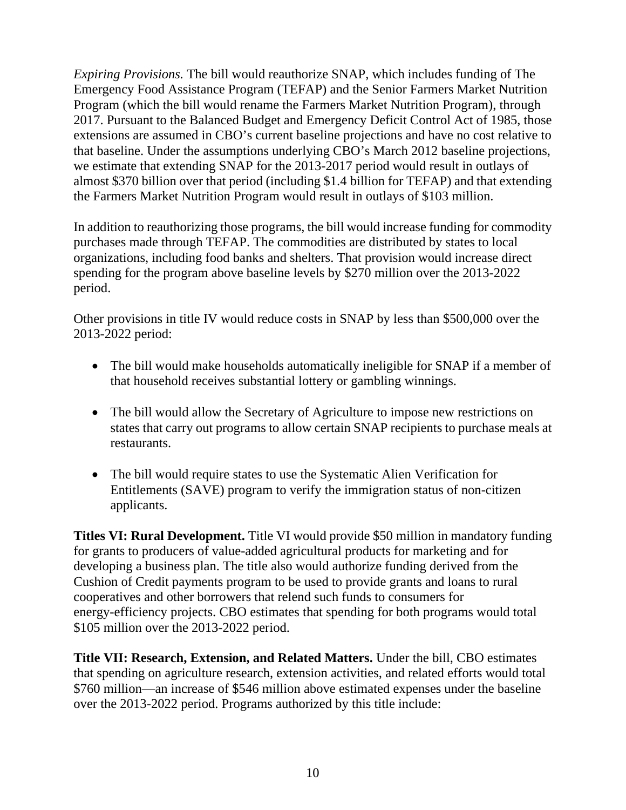*Expiring Provisions.* The bill would reauthorize SNAP, which includes funding of The Emergency Food Assistance Program (TEFAP) and the Senior Farmers Market Nutrition Program (which the bill would rename the Farmers Market Nutrition Program), through 2017. Pursuant to the Balanced Budget and Emergency Deficit Control Act of 1985, those extensions are assumed in CBO's current baseline projections and have no cost relative to that baseline. Under the assumptions underlying CBO's March 2012 baseline projections, we estimate that extending SNAP for the 2013-2017 period would result in outlays of almost \$370 billion over that period (including \$1.4 billion for TEFAP) and that extending the Farmers Market Nutrition Program would result in outlays of \$103 million.

In addition to reauthorizing those programs, the bill would increase funding for commodity purchases made through TEFAP. The commodities are distributed by states to local organizations, including food banks and shelters. That provision would increase direct spending for the program above baseline levels by \$270 million over the 2013-2022 period.

Other provisions in title IV would reduce costs in SNAP by less than \$500,000 over the 2013-2022 period:

- The bill would make households automatically ineligible for SNAP if a member of that household receives substantial lottery or gambling winnings.
- The bill would allow the Secretary of Agriculture to impose new restrictions on states that carry out programs to allow certain SNAP recipients to purchase meals at restaurants.
- The bill would require states to use the Systematic Alien Verification for Entitlements (SAVE) program to verify the immigration status of non-citizen applicants.

**Titles VI: Rural Development.** Title VI would provide \$50 million in mandatory funding for grants to producers of value-added agricultural products for marketing and for developing a business plan. The title also would authorize funding derived from the Cushion of Credit payments program to be used to provide grants and loans to rural cooperatives and other borrowers that relend such funds to consumers for energy-efficiency projects. CBO estimates that spending for both programs would total \$105 million over the 2013-2022 period.

**Title VII: Research, Extension, and Related Matters.** Under the bill, CBO estimates that spending on agriculture research, extension activities, and related efforts would total \$760 million—an increase of \$546 million above estimated expenses under the baseline over the 2013-2022 period. Programs authorized by this title include: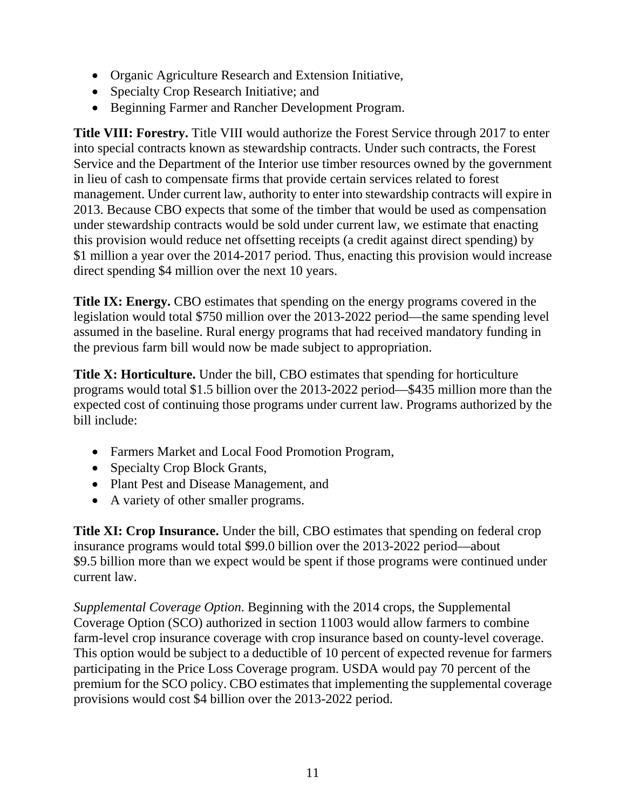- Organic Agriculture Research and Extension Initiative,
- Specialty Crop Research Initiative; and
- Beginning Farmer and Rancher Development Program.

**Title VIII: Forestry.** Title VIII would authorize the Forest Service through 2017 to enter into special contracts known as stewardship contracts. Under such contracts, the Forest Service and the Department of the Interior use timber resources owned by the government in lieu of cash to compensate firms that provide certain services related to forest management. Under current law, authority to enter into stewardship contracts will expire in 2013. Because CBO expects that some of the timber that would be used as compensation under stewardship contracts would be sold under current law, we estimate that enacting this provision would reduce net offsetting receipts (a credit against direct spending) by \$1 million a year over the 2014-2017 period. Thus, enacting this provision would increase direct spending \$4 million over the next 10 years.

**Title IX: Energy.** CBO estimates that spending on the energy programs covered in the legislation would total \$750 million over the 2013-2022 period—the same spending level assumed in the baseline. Rural energy programs that had received mandatory funding in the previous farm bill would now be made subject to appropriation.

**Title X: Horticulture.** Under the bill, CBO estimates that spending for horticulture programs would total \$1.5 billion over the 2013-2022 period—\$435 million more than the expected cost of continuing those programs under current law. Programs authorized by the bill include:

- Farmers Market and Local Food Promotion Program,
- Specialty Crop Block Grants,
- Plant Pest and Disease Management, and
- A variety of other smaller programs.

**Title XI: Crop Insurance.** Under the bill, CBO estimates that spending on federal crop insurance programs would total \$99.0 billion over the 2013-2022 period—about \$9.5 billion more than we expect would be spent if those programs were continued under current law.

*Supplemental Coverage Option*. Beginning with the 2014 crops, the Supplemental Coverage Option (SCO) authorized in section 11003 would allow farmers to combine farm-level crop insurance coverage with crop insurance based on county-level coverage. This option would be subject to a deductible of 10 percent of expected revenue for farmers participating in the Price Loss Coverage program. USDA would pay 70 percent of the premium for the SCO policy. CBO estimates that implementing the supplemental coverage provisions would cost \$4 billion over the 2013-2022 period.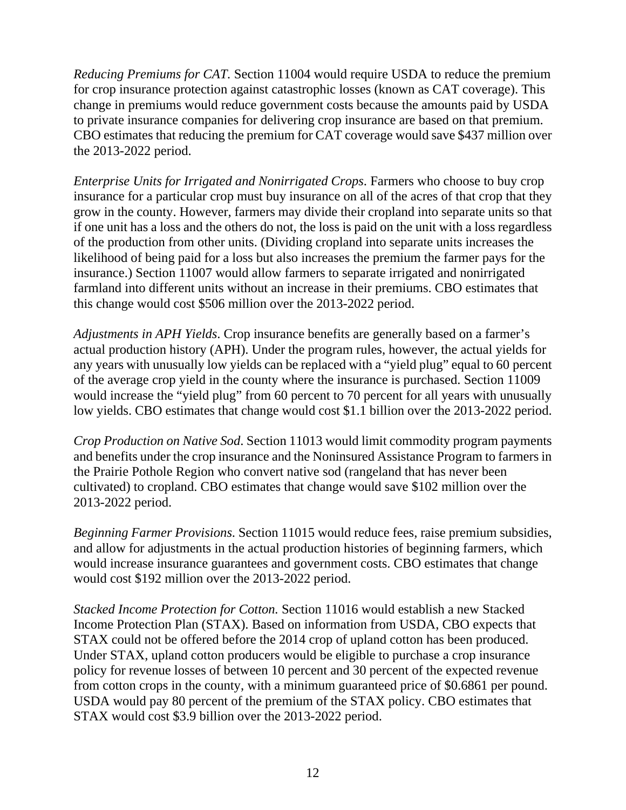*Reducing Premiums for CAT.* Section 11004 would require USDA to reduce the premium for crop insurance protection against catastrophic losses (known as CAT coverage). This change in premiums would reduce government costs because the amounts paid by USDA to private insurance companies for delivering crop insurance are based on that premium. CBO estimates that reducing the premium for CAT coverage would save \$437 million over the 2013-2022 period.

*Enterprise Units for Irrigated and Nonirrigated Crops*. Farmers who choose to buy crop insurance for a particular crop must buy insurance on all of the acres of that crop that they grow in the county. However, farmers may divide their cropland into separate units so that if one unit has a loss and the others do not, the loss is paid on the unit with a loss regardless of the production from other units. (Dividing cropland into separate units increases the likelihood of being paid for a loss but also increases the premium the farmer pays for the insurance.) Section 11007 would allow farmers to separate irrigated and nonirrigated farmland into different units without an increase in their premiums. CBO estimates that this change would cost \$506 million over the 2013-2022 period.

*Adjustments in APH Yields*. Crop insurance benefits are generally based on a farmer's actual production history (APH). Under the program rules, however, the actual yields for any years with unusually low yields can be replaced with a "yield plug" equal to 60 percent of the average crop yield in the county where the insurance is purchased. Section 11009 would increase the "yield plug" from 60 percent to 70 percent for all years with unusually low yields. CBO estimates that change would cost \$1.1 billion over the 2013-2022 period.

*Crop Production on Native Sod*. Section 11013 would limit commodity program payments and benefits under the crop insurance and the Noninsured Assistance Program to farmers in the Prairie Pothole Region who convert native sod (rangeland that has never been cultivated) to cropland. CBO estimates that change would save \$102 million over the 2013-2022 period.

*Beginning Farmer Provisions*. Section 11015 would reduce fees, raise premium subsidies, and allow for adjustments in the actual production histories of beginning farmers, which would increase insurance guarantees and government costs. CBO estimates that change would cost \$192 million over the 2013-2022 period.

*Stacked Income Protection for Cotton.* Section 11016 would establish a new Stacked Income Protection Plan (STAX). Based on information from USDA, CBO expects that STAX could not be offered before the 2014 crop of upland cotton has been produced. Under STAX, upland cotton producers would be eligible to purchase a crop insurance policy for revenue losses of between 10 percent and 30 percent of the expected revenue from cotton crops in the county, with a minimum guaranteed price of \$0.6861 per pound. USDA would pay 80 percent of the premium of the STAX policy. CBO estimates that STAX would cost \$3.9 billion over the 2013-2022 period.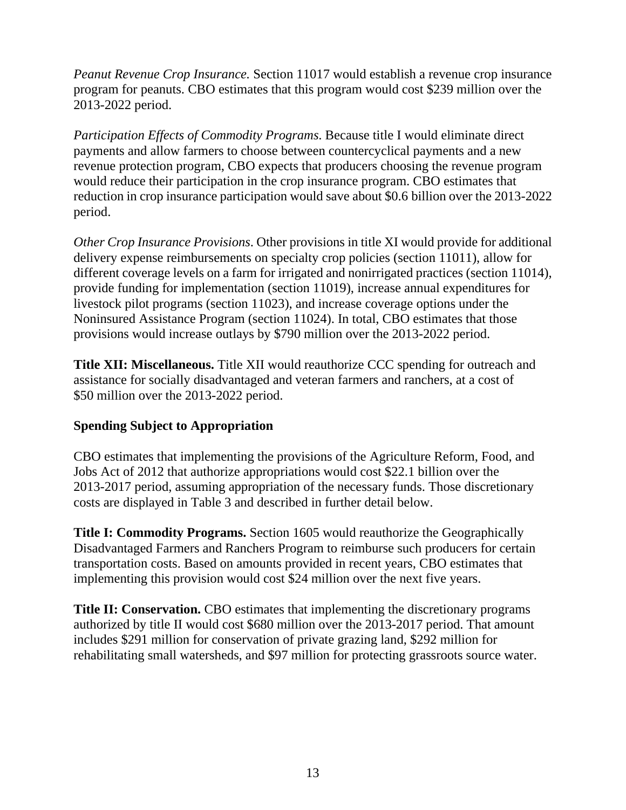*Peanut Revenue Crop Insurance.* Section 11017 would establish a revenue crop insurance program for peanuts. CBO estimates that this program would cost \$239 million over the 2013-2022 period.

*Participation Effects of Commodity Programs*. Because title I would eliminate direct payments and allow farmers to choose between countercyclical payments and a new revenue protection program, CBO expects that producers choosing the revenue program would reduce their participation in the crop insurance program. CBO estimates that reduction in crop insurance participation would save about \$0.6 billion over the 2013-2022 period.

*Other Crop Insurance Provisions*. Other provisions in title XI would provide for additional delivery expense reimbursements on specialty crop policies (section 11011), allow for different coverage levels on a farm for irrigated and nonirrigated practices (section 11014), provide funding for implementation (section 11019), increase annual expenditures for livestock pilot programs (section 11023), and increase coverage options under the Noninsured Assistance Program (section 11024). In total, CBO estimates that those provisions would increase outlays by \$790 million over the 2013-2022 period.

**Title XII: Miscellaneous.** Title XII would reauthorize CCC spending for outreach and assistance for socially disadvantaged and veteran farmers and ranchers, at a cost of \$50 million over the 2013-2022 period.

# **Spending Subject to Appropriation**

CBO estimates that implementing the provisions of the Agriculture Reform, Food, and Jobs Act of 2012 that authorize appropriations would cost \$22.1 billion over the 2013-2017 period, assuming appropriation of the necessary funds. Those discretionary costs are displayed in Table 3 and described in further detail below.

**Title I: Commodity Programs.** Section 1605 would reauthorize the Geographically Disadvantaged Farmers and Ranchers Program to reimburse such producers for certain transportation costs. Based on amounts provided in recent years, CBO estimates that implementing this provision would cost \$24 million over the next five years.

**Title II: Conservation.** CBO estimates that implementing the discretionary programs authorized by title II would cost \$680 million over the 2013-2017 period. That amount includes \$291 million for conservation of private grazing land, \$292 million for rehabilitating small watersheds, and \$97 million for protecting grassroots source water.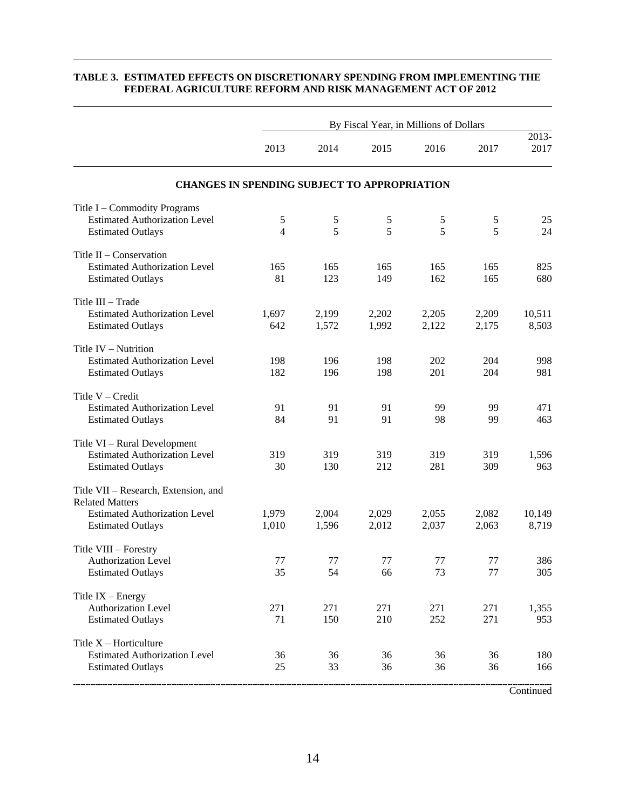|                                                                                                                                    |                     |                | By Fiscal Year, in Millions of Dollars |                |                |                 |
|------------------------------------------------------------------------------------------------------------------------------------|---------------------|----------------|----------------------------------------|----------------|----------------|-----------------|
|                                                                                                                                    | 2013                | 2014           | 2015                                   | 2016           | 2017           | 2013-<br>2017   |
| <b>CHANGES IN SPENDING SUBJECT TO APPROPRIATION</b>                                                                                |                     |                |                                        |                |                |                 |
| Title I - Commodity Programs<br><b>Estimated Authorization Level</b><br><b>Estimated Outlays</b>                                   | 5<br>$\overline{4}$ | 5<br>5         | 5<br>5                                 | 5<br>5         | 5<br>5         | 25<br>24        |
| Title $II$ – Conservation<br><b>Estimated Authorization Level</b><br><b>Estimated Outlays</b>                                      | 165<br>81           | 165<br>123     | 165<br>149                             | 165<br>162     | 165<br>165     | 825<br>680      |
| Title III - Trade<br><b>Estimated Authorization Level</b><br><b>Estimated Outlays</b>                                              | 1,697<br>642        | 2,199<br>1,572 | 2,202<br>1,992                         | 2,205<br>2,122 | 2,209<br>2,175 | 10,511<br>8,503 |
| Title IV - Nutrition<br><b>Estimated Authorization Level</b><br><b>Estimated Outlays</b>                                           | 198<br>182          | 196<br>196     | 198<br>198                             | 202<br>201     | 204<br>204     | 998<br>981      |
| Title $V - Credit$<br><b>Estimated Authorization Level</b><br><b>Estimated Outlays</b>                                             | 91<br>84            | 91<br>91       | 91<br>91                               | 99<br>98       | 99<br>99       | 471<br>463      |
| Title VI - Rural Development<br><b>Estimated Authorization Level</b><br><b>Estimated Outlays</b>                                   | 319<br>30           | 319<br>130     | 319<br>212                             | 319<br>281     | 319<br>309     | 1,596<br>963    |
| Title VII - Research, Extension, and<br><b>Related Matters</b><br><b>Estimated Authorization Level</b><br><b>Estimated Outlays</b> | 1,979<br>1,010      | 2,004<br>1,596 | 2,029<br>2,012                         | 2,055<br>2,037 | 2,082<br>2,063 | 10,149<br>8,719 |
| Title VIII - Forestry<br><b>Authorization Level</b><br><b>Estimated Outlays</b>                                                    | 77<br>35            | 77<br>54       | 77<br>66                               | 77<br>73       | 77<br>77       | 386<br>305      |
| Title $IX$ – Energy<br><b>Authorization Level</b><br><b>Estimated Outlays</b>                                                      | 271<br>71           | 271<br>150     | 271<br>210                             | 271<br>252     | 271<br>271     | 1,355<br>953    |
| Title $X -$ Horticulture<br><b>Estimated Authorization Level</b><br><b>Estimated Outlays</b>                                       | 36<br>25            | 36<br>33       | 36<br>36                               | 36<br>36       | 36<br>36       | 180<br>166      |
|                                                                                                                                    |                     |                |                                        |                |                | Continued       |

#### **TABLE 3. ESTIMATED EFFECTS ON DISCRETIONARY SPENDING FROM IMPLEMENTING THE FEDERAL AGRICULTURE REFORM AND RISK MANAGEMENT ACT OF 2012**

14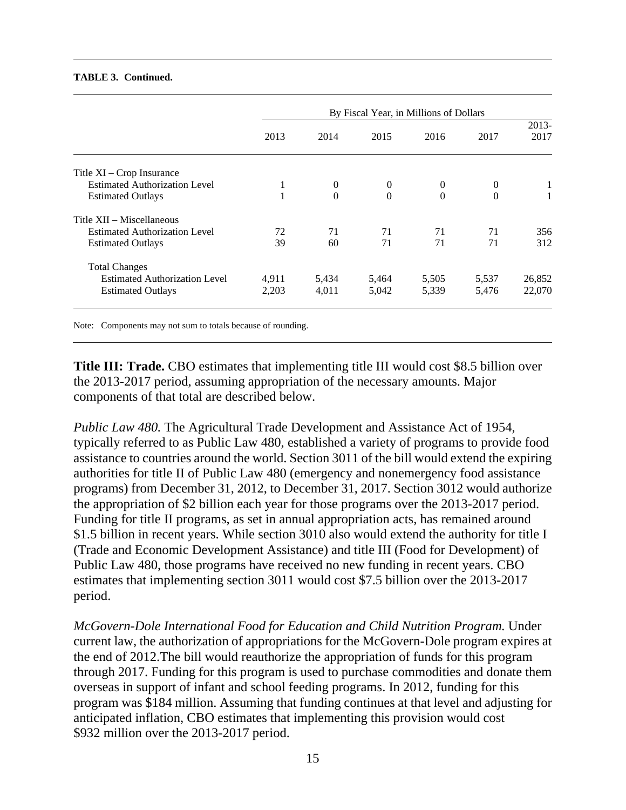#### **TABLE 3. Continued.**

|                                      | By Fiscal Year, in Millions of Dollars |          |          |          |              |                  |  |  |  |  |
|--------------------------------------|----------------------------------------|----------|----------|----------|--------------|------------------|--|--|--|--|
|                                      | 2013                                   | 2014     | 2015     | 2016     | 2017         | $2013 -$<br>2017 |  |  |  |  |
| Title XI – Crop Insurance            |                                        |          |          |          |              |                  |  |  |  |  |
| <b>Estimated Authorization Level</b> | 1                                      | $\theta$ | $\theta$ | $\theta$ | $\mathbf{0}$ | 1                |  |  |  |  |
| <b>Estimated Outlays</b>             | 1                                      | $\Omega$ | $\Omega$ | $\Omega$ | $\Omega$     |                  |  |  |  |  |
| Title XII – Miscellaneous            |                                        |          |          |          |              |                  |  |  |  |  |
| <b>Estimated Authorization Level</b> | 72                                     | 71       | 71       | 71       | 71           | 356              |  |  |  |  |
| <b>Estimated Outlays</b>             | 39                                     | 60       | 71       | 71       | 71           | 312              |  |  |  |  |
| <b>Total Changes</b>                 |                                        |          |          |          |              |                  |  |  |  |  |
| <b>Estimated Authorization Level</b> | 4,911                                  | 5,434    | 5,464    | 5,505    | 5,537        | 26,852           |  |  |  |  |
| <b>Estimated Outlays</b>             | 2,203                                  | 4,011    | 5,042    | 5,339    | 5,476        | 22,070           |  |  |  |  |
|                                      |                                        |          |          |          |              |                  |  |  |  |  |

Note: Components may not sum to totals because of rounding.

**Title III: Trade.** CBO estimates that implementing title III would cost \$8.5 billion over the 2013-2017 period, assuming appropriation of the necessary amounts. Major components of that total are described below.

*Public Law 480.* The Agricultural Trade Development and Assistance Act of 1954, typically referred to as Public Law 480, established a variety of programs to provide food assistance to countries around the world. Section 3011 of the bill would extend the expiring authorities for title II of Public Law 480 (emergency and nonemergency food assistance programs) from December 31, 2012, to December 31, 2017. Section 3012 would authorize the appropriation of \$2 billion each year for those programs over the 2013-2017 period. Funding for title II programs, as set in annual appropriation acts, has remained around \$1.5 billion in recent years. While section 3010 also would extend the authority for title I (Trade and Economic Development Assistance) and title III (Food for Development) of Public Law 480, those programs have received no new funding in recent years. CBO estimates that implementing section 3011 would cost \$7.5 billion over the 2013-2017 period.

*McGovern-Dole International Food for Education and Child Nutrition Program.* Under current law, the authorization of appropriations for the McGovern-Dole program expires at the end of 2012.The bill would reauthorize the appropriation of funds for this program through 2017. Funding for this program is used to purchase commodities and donate them overseas in support of infant and school feeding programs. In 2012, funding for this program was \$184 million. Assuming that funding continues at that level and adjusting for anticipated inflation, CBO estimates that implementing this provision would cost \$932 million over the 2013-2017 period.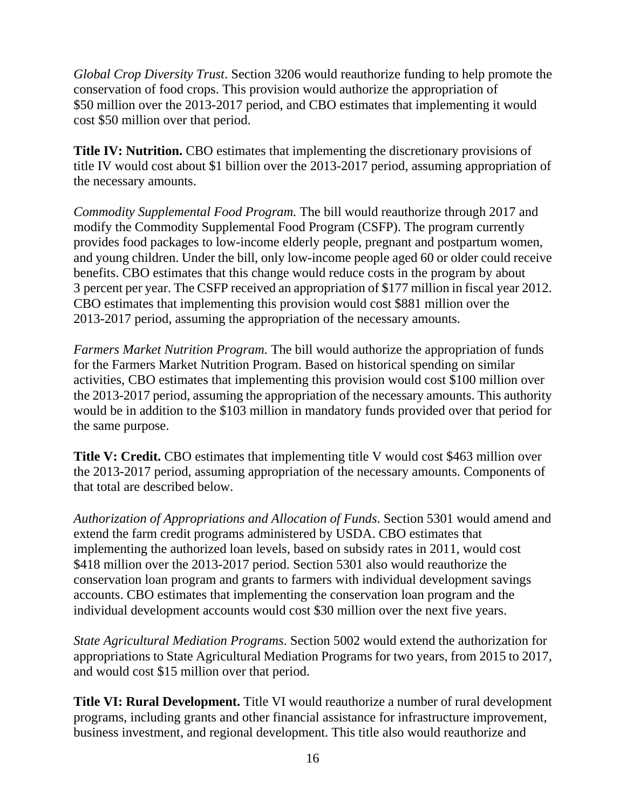*Global Crop Diversity Trust*. Section 3206 would reauthorize funding to help promote the conservation of food crops. This provision would authorize the appropriation of \$50 million over the 2013-2017 period, and CBO estimates that implementing it would cost \$50 million over that period.

**Title IV: Nutrition.** CBO estimates that implementing the discretionary provisions of title IV would cost about \$1 billion over the 2013-2017 period, assuming appropriation of the necessary amounts.

*Commodity Supplemental Food Program.* The bill would reauthorize through 2017 and modify the Commodity Supplemental Food Program (CSFP). The program currently provides food packages to low-income elderly people, pregnant and postpartum women, and young children. Under the bill, only low-income people aged 60 or older could receive benefits. CBO estimates that this change would reduce costs in the program by about 3 percent per year. The CSFP received an appropriation of \$177 million in fiscal year 2012. CBO estimates that implementing this provision would cost \$881 million over the 2013-2017 period, assuming the appropriation of the necessary amounts.

*Farmers Market Nutrition Program.* The bill would authorize the appropriation of funds for the Farmers Market Nutrition Program. Based on historical spending on similar activities, CBO estimates that implementing this provision would cost \$100 million over the 2013-2017 period, assuming the appropriation of the necessary amounts. This authority would be in addition to the \$103 million in mandatory funds provided over that period for the same purpose.

**Title V: Credit.** CBO estimates that implementing title V would cost \$463 million over the 2013-2017 period, assuming appropriation of the necessary amounts. Components of that total are described below.

*Authorization of Appropriations and Allocation of Funds*. Section 5301 would amend and extend the farm credit programs administered by USDA. CBO estimates that implementing the authorized loan levels, based on subsidy rates in 2011, would cost \$418 million over the 2013-2017 period. Section 5301 also would reauthorize the conservation loan program and grants to farmers with individual development savings accounts. CBO estimates that implementing the conservation loan program and the individual development accounts would cost \$30 million over the next five years.

*State Agricultural Mediation Programs*. Section 5002 would extend the authorization for appropriations to State Agricultural Mediation Programs for two years, from 2015 to 2017, and would cost \$15 million over that period.

**Title VI: Rural Development.** Title VI would reauthorize a number of rural development programs, including grants and other financial assistance for infrastructure improvement, business investment, and regional development. This title also would reauthorize and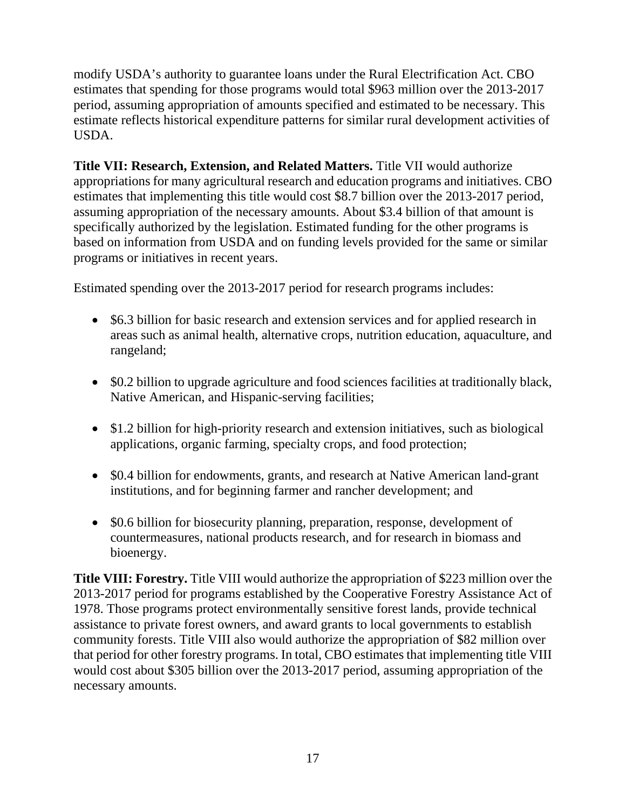modify USDA's authority to guarantee loans under the Rural Electrification Act. CBO estimates that spending for those programs would total \$963 million over the 2013-2017 period, assuming appropriation of amounts specified and estimated to be necessary. This estimate reflects historical expenditure patterns for similar rural development activities of USDA.

**Title VII: Research, Extension, and Related Matters.** Title VII would authorize appropriations for many agricultural research and education programs and initiatives. CBO estimates that implementing this title would cost \$8.7 billion over the 2013-2017 period, assuming appropriation of the necessary amounts. About \$3.4 billion of that amount is specifically authorized by the legislation. Estimated funding for the other programs is based on information from USDA and on funding levels provided for the same or similar programs or initiatives in recent years.

Estimated spending over the 2013-2017 period for research programs includes:

- \$6.3 billion for basic research and extension services and for applied research in areas such as animal health, alternative crops, nutrition education, aquaculture, and rangeland;
- \$0.2 billion to upgrade agriculture and food sciences facilities at traditionally black, Native American, and Hispanic-serving facilities;
- \$1.2 billion for high-priority research and extension initiatives, such as biological applications, organic farming, specialty crops, and food protection;
- \$0.4 billion for endowments, grants, and research at Native American land-grant institutions, and for beginning farmer and rancher development; and
- \$0.6 billion for biosecurity planning, preparation, response, development of countermeasures, national products research, and for research in biomass and bioenergy.

**Title VIII: Forestry.** Title VIII would authorize the appropriation of \$223 million over the 2013-2017 period for programs established by the Cooperative Forestry Assistance Act of 1978. Those programs protect environmentally sensitive forest lands, provide technical assistance to private forest owners, and award grants to local governments to establish community forests. Title VIII also would authorize the appropriation of \$82 million over that period for other forestry programs. In total, CBO estimates that implementing title VIII would cost about \$305 billion over the 2013-2017 period, assuming appropriation of the necessary amounts.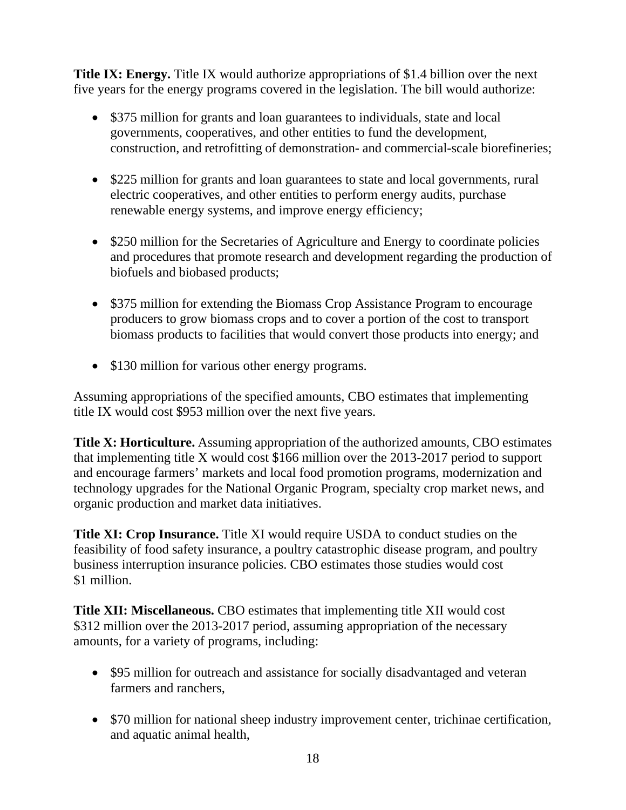**Title IX: Energy.** Title IX would authorize appropriations of \$1.4 billion over the next five years for the energy programs covered in the legislation. The bill would authorize:

- \$375 million for grants and loan guarantees to individuals, state and local governments, cooperatives, and other entities to fund the development, construction, and retrofitting of demonstration- and commercial-scale biorefineries;
- \$225 million for grants and loan guarantees to state and local governments, rural electric cooperatives, and other entities to perform energy audits, purchase renewable energy systems, and improve energy efficiency;
- \$250 million for the Secretaries of Agriculture and Energy to coordinate policies and procedures that promote research and development regarding the production of biofuels and biobased products;
- \$375 million for extending the Biomass Crop Assistance Program to encourage producers to grow biomass crops and to cover a portion of the cost to transport biomass products to facilities that would convert those products into energy; and
- \$130 million for various other energy programs.

Assuming appropriations of the specified amounts, CBO estimates that implementing title IX would cost \$953 million over the next five years.

**Title X: Horticulture.** Assuming appropriation of the authorized amounts, CBO estimates that implementing title X would cost \$166 million over the 2013-2017 period to support and encourage farmers' markets and local food promotion programs, modernization and technology upgrades for the National Organic Program, specialty crop market news, and organic production and market data initiatives.

**Title XI: Crop Insurance.** Title XI would require USDA to conduct studies on the feasibility of food safety insurance, a poultry catastrophic disease program, and poultry business interruption insurance policies. CBO estimates those studies would cost \$1 million.

**Title XII: Miscellaneous.** CBO estimates that implementing title XII would cost \$312 million over the 2013-2017 period, assuming appropriation of the necessary amounts, for a variety of programs, including:

- \$95 million for outreach and assistance for socially disadvantaged and veteran farmers and ranchers,
- \$70 million for national sheep industry improvement center, trichinae certification, and aquatic animal health,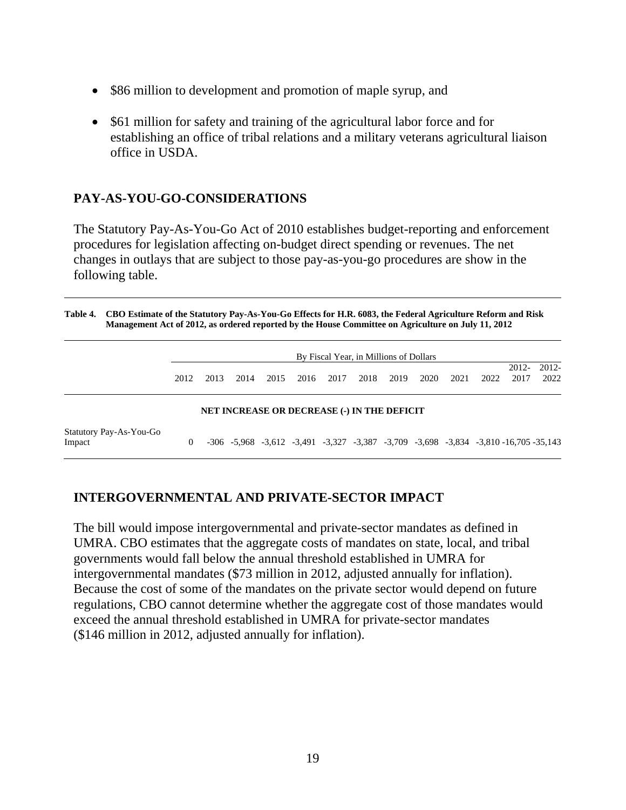- \$86 million to development and promotion of maple syrup, and
- \$61 million for safety and training of the agricultural labor force and for establishing an office of tribal relations and a military veterans agricultural liaison office in USDA.

### **PAY-AS-YOU-GO-CONSIDERATIONS**

The Statutory Pay-As-You-Go Act of 2010 establishes budget-reporting and enforcement procedures for legislation affecting on-budget direct spending or revenues. The net changes in outlays that are subject to those pay-as-you-go procedures are show in the following table.

| Table 4. CBO Estimate of the Statutory Pay-As-You-Go Effects for H.R. 6083, the Federal Agriculture Reform and Risk |
|---------------------------------------------------------------------------------------------------------------------|
| Management Act of 2012, as ordered reported by the House Committee on Agriculture on July 11, 2012                  |

|                                                    | By Fiscal Year, in Millions of Dollars |      |      |      |      |      |      |      |      |      |      |                                                                                     |                  |
|----------------------------------------------------|----------------------------------------|------|------|------|------|------|------|------|------|------|------|-------------------------------------------------------------------------------------|------------------|
|                                                    | 2012                                   | 2013 | 2014 | 2015 | 2016 | 2017 | 2018 | 2019 | 2020 | 2021 | 2022 | $2012 -$<br>2017                                                                    | $2012 -$<br>2022 |
| <b>NET INCREASE OR DECREASE (-) IN THE DEFICIT</b> |                                        |      |      |      |      |      |      |      |      |      |      |                                                                                     |                  |
| Statutory Pay-As-You-Go<br>Impact                  | $\theta$                               |      |      |      |      |      |      |      |      |      |      | -306 -5,968 -3,612 -3,491 -3,327 -3,387 -3,709 -3,698 -3,834 -3,810 -16,705 -35,143 |                  |

### **INTERGOVERNMENTAL AND PRIVATE-SECTOR IMPACT**

The bill would impose intergovernmental and private-sector mandates as defined in UMRA. CBO estimates that the aggregate costs of mandates on state, local, and tribal governments would fall below the annual threshold established in UMRA for intergovernmental mandates (\$73 million in 2012, adjusted annually for inflation). Because the cost of some of the mandates on the private sector would depend on future regulations, CBO cannot determine whether the aggregate cost of those mandates would exceed the annual threshold established in UMRA for private-sector mandates (\$146 million in 2012, adjusted annually for inflation).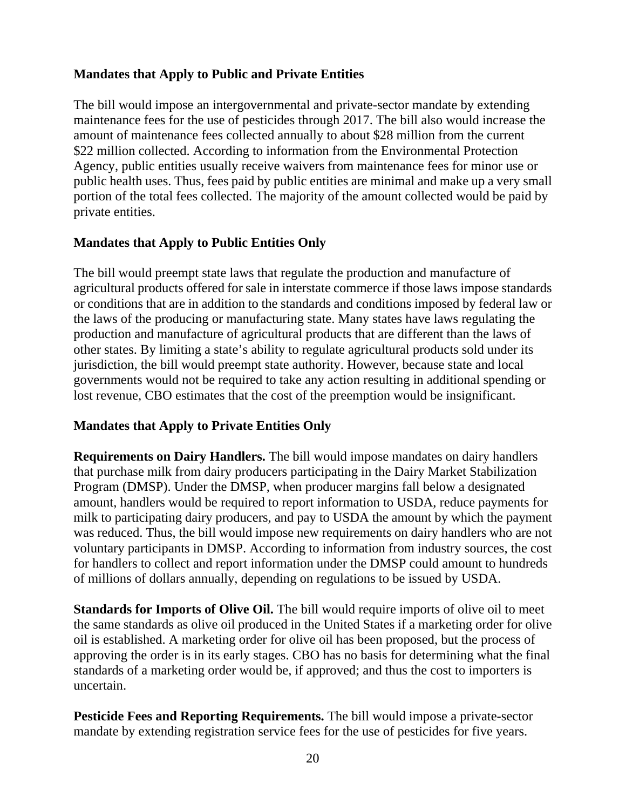### **Mandates that Apply to Public and Private Entities**

The bill would impose an intergovernmental and private-sector mandate by extending maintenance fees for the use of pesticides through 2017. The bill also would increase the amount of maintenance fees collected annually to about \$28 million from the current \$22 million collected. According to information from the Environmental Protection Agency, public entities usually receive waivers from maintenance fees for minor use or public health uses. Thus, fees paid by public entities are minimal and make up a very small portion of the total fees collected. The majority of the amount collected would be paid by private entities.

### **Mandates that Apply to Public Entities Only**

The bill would preempt state laws that regulate the production and manufacture of agricultural products offered for sale in interstate commerce if those laws impose standards or conditions that are in addition to the standards and conditions imposed by federal law or the laws of the producing or manufacturing state. Many states have laws regulating the production and manufacture of agricultural products that are different than the laws of other states. By limiting a state's ability to regulate agricultural products sold under its jurisdiction, the bill would preempt state authority. However, because state and local governments would not be required to take any action resulting in additional spending or lost revenue, CBO estimates that the cost of the preemption would be insignificant.

# **Mandates that Apply to Private Entities Only**

**Requirements on Dairy Handlers.** The bill would impose mandates on dairy handlers that purchase milk from dairy producers participating in the Dairy Market Stabilization Program (DMSP). Under the DMSP, when producer margins fall below a designated amount, handlers would be required to report information to USDA, reduce payments for milk to participating dairy producers, and pay to USDA the amount by which the payment was reduced. Thus, the bill would impose new requirements on dairy handlers who are not voluntary participants in DMSP. According to information from industry sources, the cost for handlers to collect and report information under the DMSP could amount to hundreds of millions of dollars annually, depending on regulations to be issued by USDA.

**Standards for Imports of Olive Oil.** The bill would require imports of olive oil to meet the same standards as olive oil produced in the United States if a marketing order for olive oil is established. A marketing order for olive oil has been proposed, but the process of approving the order is in its early stages. CBO has no basis for determining what the final standards of a marketing order would be, if approved; and thus the cost to importers is uncertain.

**Pesticide Fees and Reporting Requirements.** The bill would impose a private-sector mandate by extending registration service fees for the use of pesticides for five years.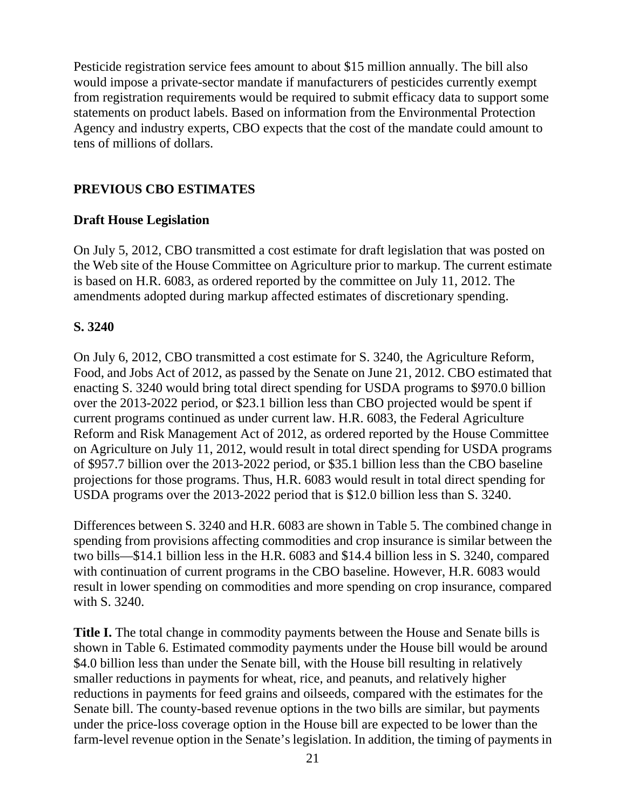Pesticide registration service fees amount to about \$15 million annually. The bill also would impose a private-sector mandate if manufacturers of pesticides currently exempt from registration requirements would be required to submit efficacy data to support some statements on product labels. Based on information from the Environmental Protection Agency and industry experts, CBO expects that the cost of the mandate could amount to tens of millions of dollars.

### **PREVIOUS CBO ESTIMATES**

### **Draft House Legislation**

On July 5, 2012, CBO transmitted a cost estimate for draft legislation that was posted on the Web site of the House Committee on Agriculture prior to markup. The current estimate is based on H.R. 6083, as ordered reported by the committee on July 11, 2012. The amendments adopted during markup affected estimates of discretionary spending.

### **S. 3240**

On July 6, 2012, CBO transmitted a cost estimate for S. 3240, the Agriculture Reform, Food, and Jobs Act of 2012, as passed by the Senate on June 21, 2012. CBO estimated that enacting S. 3240 would bring total direct spending for USDA programs to \$970.0 billion over the 2013-2022 period, or \$23.1 billion less than CBO projected would be spent if current programs continued as under current law. H.R. 6083, the Federal Agriculture Reform and Risk Management Act of 2012, as ordered reported by the House Committee on Agriculture on July 11, 2012, would result in total direct spending for USDA programs of \$957.7 billion over the 2013-2022 period, or \$35.1 billion less than the CBO baseline projections for those programs. Thus, H.R. 6083 would result in total direct spending for USDA programs over the 2013-2022 period that is \$12.0 billion less than S. 3240.

Differences between S. 3240 and H.R. 6083 are shown in Table 5. The combined change in spending from provisions affecting commodities and crop insurance is similar between the two bills—\$14.1 billion less in the H.R. 6083 and \$14.4 billion less in S. 3240, compared with continuation of current programs in the CBO baseline. However, H.R. 6083 would result in lower spending on commodities and more spending on crop insurance, compared with S. 3240.

**Title I.** The total change in commodity payments between the House and Senate bills is shown in Table 6. Estimated commodity payments under the House bill would be around \$4.0 billion less than under the Senate bill, with the House bill resulting in relatively smaller reductions in payments for wheat, rice, and peanuts, and relatively higher reductions in payments for feed grains and oilseeds, compared with the estimates for the Senate bill. The county-based revenue options in the two bills are similar, but payments under the price-loss coverage option in the House bill are expected to be lower than the farm-level revenue option in the Senate's legislation. In addition, the timing of payments in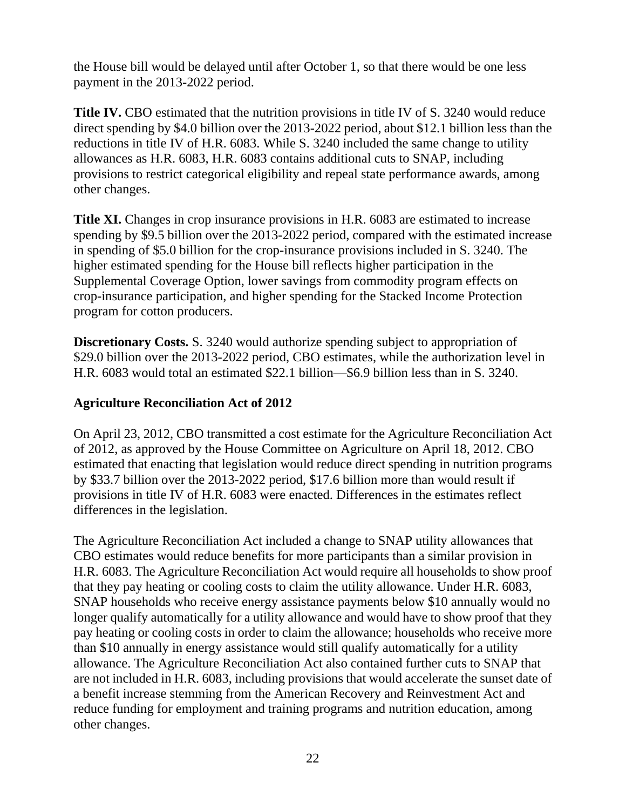the House bill would be delayed until after October 1, so that there would be one less payment in the 2013-2022 period.

**Title IV.** CBO estimated that the nutrition provisions in title IV of S. 3240 would reduce direct spending by \$4.0 billion over the 2013-2022 period, about \$12.1 billion less than the reductions in title IV of H.R. 6083. While S. 3240 included the same change to utility allowances as H.R. 6083, H.R. 6083 contains additional cuts to SNAP, including provisions to restrict categorical eligibility and repeal state performance awards, among other changes.

**Title XI.** Changes in crop insurance provisions in H.R. 6083 are estimated to increase spending by \$9.5 billion over the 2013-2022 period, compared with the estimated increase in spending of \$5.0 billion for the crop-insurance provisions included in S. 3240. The higher estimated spending for the House bill reflects higher participation in the Supplemental Coverage Option, lower savings from commodity program effects on crop-insurance participation, and higher spending for the Stacked Income Protection program for cotton producers.

**Discretionary Costs.** S. 3240 would authorize spending subject to appropriation of \$29.0 billion over the 2013-2022 period, CBO estimates, while the authorization level in H.R. 6083 would total an estimated \$22.1 billion—\$6.9 billion less than in S. 3240.

### **Agriculture Reconciliation Act of 2012**

On April 23, 2012, CBO transmitted a cost estimate for the Agriculture Reconciliation Act of 2012, as approved by the House Committee on Agriculture on April 18, 2012. CBO estimated that enacting that legislation would reduce direct spending in nutrition programs by \$33.7 billion over the 2013-2022 period, \$17.6 billion more than would result if provisions in title IV of H.R. 6083 were enacted. Differences in the estimates reflect differences in the legislation.

The Agriculture Reconciliation Act included a change to SNAP utility allowances that CBO estimates would reduce benefits for more participants than a similar provision in H.R. 6083. The Agriculture Reconciliation Act would require all households to show proof that they pay heating or cooling costs to claim the utility allowance. Under H.R. 6083, SNAP households who receive energy assistance payments below \$10 annually would no longer qualify automatically for a utility allowance and would have to show proof that they pay heating or cooling costs in order to claim the allowance; households who receive more than \$10 annually in energy assistance would still qualify automatically for a utility allowance. The Agriculture Reconciliation Act also contained further cuts to SNAP that are not included in H.R. 6083, including provisions that would accelerate the sunset date of a benefit increase stemming from the American Recovery and Reinvestment Act and reduce funding for employment and training programs and nutrition education, among other changes.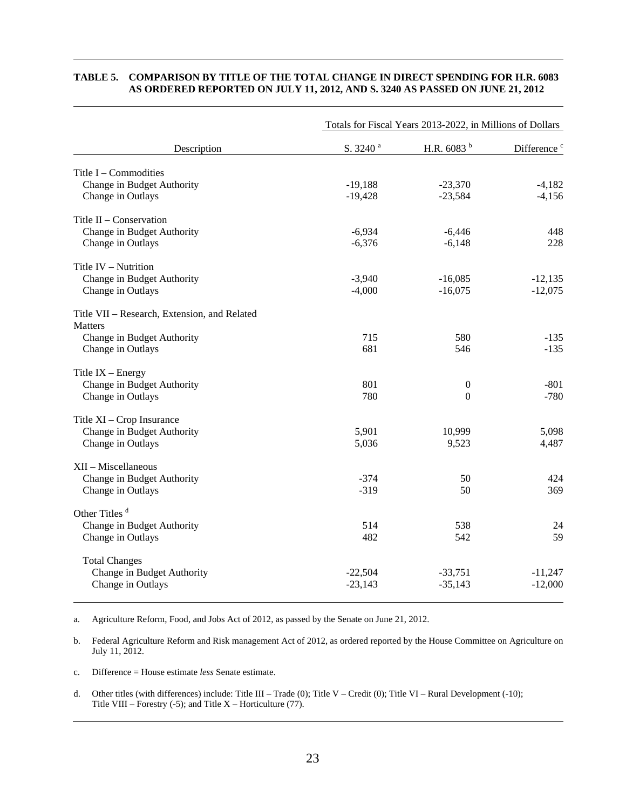#### **TABLE 5. COMPARISON BY TITLE OF THE TOTAL CHANGE IN DIRECT SPENDING FOR H.R. 6083 AS ORDERED REPORTED ON JULY 11, 2012, AND S. 3240 AS PASSED ON JUNE 21, 2012**

|                                              | Totals for Fiscal Years 2013-2022, in Millions of Dollars |               |                         |  |  |  |  |
|----------------------------------------------|-----------------------------------------------------------|---------------|-------------------------|--|--|--|--|
| Description                                  | S. 3240 <sup>a</sup>                                      | H.R. 6083 $b$ | Difference <sup>c</sup> |  |  |  |  |
| Title $I$ – Commodities                      |                                                           |               |                         |  |  |  |  |
| Change in Budget Authority                   | $-19,188$                                                 | $-23,370$     | $-4,182$                |  |  |  |  |
| Change in Outlays                            | $-19,428$                                                 | $-23,584$     | $-4,156$                |  |  |  |  |
| Title II - Conservation                      |                                                           |               |                         |  |  |  |  |
| Change in Budget Authority                   | $-6,934$                                                  | $-6,446$      | 448                     |  |  |  |  |
| Change in Outlays                            | $-6,376$                                                  | $-6,148$      | 228                     |  |  |  |  |
| Title IV - Nutrition                         |                                                           |               |                         |  |  |  |  |
| Change in Budget Authority                   | $-3,940$                                                  | $-16,085$     | $-12,135$               |  |  |  |  |
| Change in Outlays                            | $-4,000$                                                  | $-16,075$     | $-12,075$               |  |  |  |  |
| Title VII - Research, Extension, and Related |                                                           |               |                         |  |  |  |  |
| Matters                                      |                                                           |               |                         |  |  |  |  |
| Change in Budget Authority                   | 715                                                       | 580           | $-135$                  |  |  |  |  |
| Change in Outlays                            | 681                                                       | 546           | $-135$                  |  |  |  |  |
| Title $IX$ – Energy                          |                                                           |               |                         |  |  |  |  |
| Change in Budget Authority                   | 801                                                       | $\theta$      | $-801$                  |  |  |  |  |
| Change in Outlays                            | 780                                                       | $\theta$      | $-780$                  |  |  |  |  |
| Title XI - Crop Insurance                    |                                                           |               |                         |  |  |  |  |
| Change in Budget Authority                   | 5,901                                                     | 10,999        | 5,098                   |  |  |  |  |
| Change in Outlays                            | 5,036                                                     | 9,523         | 4,487                   |  |  |  |  |
| XII - Miscellaneous                          |                                                           |               |                         |  |  |  |  |
| Change in Budget Authority                   | $-374$                                                    | 50            | 424                     |  |  |  |  |
| Change in Outlays                            | $-319$                                                    | 50            | 369                     |  |  |  |  |
| Other Titles <sup>d</sup>                    |                                                           |               |                         |  |  |  |  |
| Change in Budget Authority                   | 514                                                       | 538           | 24                      |  |  |  |  |
| Change in Outlays                            | 482                                                       | 542           | 59                      |  |  |  |  |
| <b>Total Changes</b>                         |                                                           |               |                         |  |  |  |  |
| Change in Budget Authority                   | $-22,504$                                                 | $-33,751$     | $-11,247$               |  |  |  |  |
| Change in Outlays                            | $-23,143$                                                 | $-35,143$     | $-12,000$               |  |  |  |  |
|                                              |                                                           |               |                         |  |  |  |  |

a. Agriculture Reform, Food, and Jobs Act of 2012, as passed by the Senate on June 21, 2012.

b. Federal Agriculture Reform and Risk management Act of 2012, as ordered reported by the House Committee on Agriculture on July 11, 2012.

c. Difference = House estimate *less* Senate estimate.

d. Other titles (with differences) include: Title III – Trade (0); Title V – Credit (0); Title VI – Rural Development (-10); Title VIII – Forestry  $(-5)$ ; and Title X – Horticulture  $(77)$ .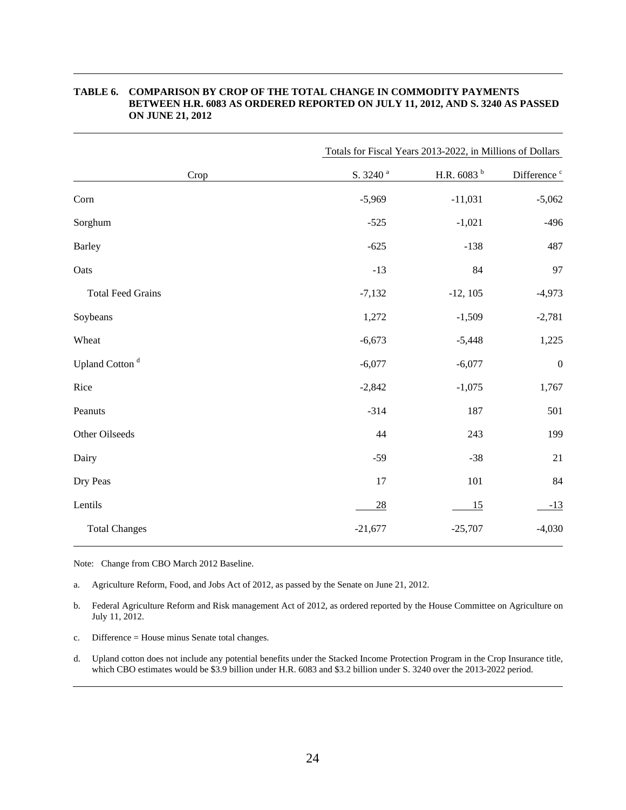|                            | Totals for Fiscal Years 2013-2022, in Millions of Dollars |                        |                         |  |  |  |  |
|----------------------------|-----------------------------------------------------------|------------------------|-------------------------|--|--|--|--|
| Crop                       | S. 3240 <sup>a</sup>                                      | H.R. 6083 <sup>b</sup> | Difference <sup>c</sup> |  |  |  |  |
| Corn                       | $-5,969$                                                  | $-11,031$              | $-5,062$                |  |  |  |  |
| Sorghum                    | $-525$                                                    | $-1,021$               | $-496$                  |  |  |  |  |
| <b>Barley</b>              | $-625$                                                    | $-138$                 | 487                     |  |  |  |  |
| Oats                       | $-13$                                                     | 84                     | 97                      |  |  |  |  |
| <b>Total Feed Grains</b>   | $-7,132$                                                  | $-12, 105$             | $-4,973$                |  |  |  |  |
| Soybeans                   | 1,272                                                     | $-1,509$               | $-2,781$                |  |  |  |  |
| Wheat                      | $-6,673$                                                  | $-5,448$               | 1,225                   |  |  |  |  |
| Upland Cotton <sup>d</sup> | $-6,077$                                                  | $-6,077$               | $\boldsymbol{0}$        |  |  |  |  |
| Rice                       | $-2,842$                                                  | $-1,075$               | 1,767                   |  |  |  |  |
| Peanuts                    | $-314$                                                    | 187                    | 501                     |  |  |  |  |
| Other Oilseeds             | 44                                                        | 243                    | 199                     |  |  |  |  |
| Dairy                      | $-59$                                                     | $-38$                  | 21                      |  |  |  |  |
| Dry Peas                   | 17                                                        | 101                    | $\bf 84$                |  |  |  |  |
| Lentils                    | 28                                                        | 15                     | $-13$                   |  |  |  |  |
| <b>Total Changes</b>       | $-21,677$                                                 | $-25,707$              | $-4,030$                |  |  |  |  |

#### **TABLE 6. COMPARISON BY CROP OF THE TOTAL CHANGE IN COMMODITY PAYMENTS BETWEEN H.R. 6083 AS ORDERED REPORTED ON JULY 11, 2012, AND S. 3240 AS PASSED ON JUNE 21, 2012**

Note: Change from CBO March 2012 Baseline.

a. Agriculture Reform, Food, and Jobs Act of 2012, as passed by the Senate on June 21, 2012.

b. Federal Agriculture Reform and Risk management Act of 2012, as ordered reported by the House Committee on Agriculture on July 11, 2012.

c. Difference = House minus Senate total changes.

d. Upland cotton does not include any potential benefits under the Stacked Income Protection Program in the Crop Insurance title, which CBO estimates would be \$3.9 billion under H.R. 6083 and \$3.2 billion under S. 3240 over the 2013-2022 period.